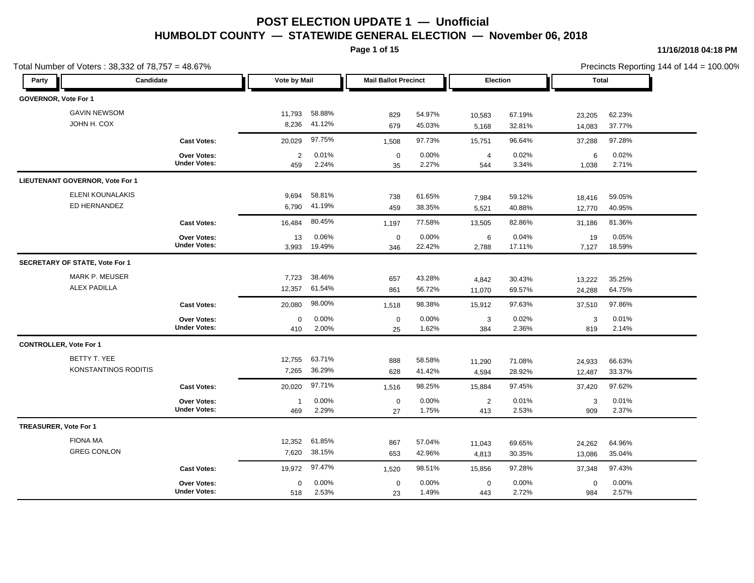**Page 1 of 15**

| Total Number of Voters: 38,332 of 78,757 = 48.67% |                                           |                     |                  |                             |                  |                       |                  |                    | Precincts Reporting 144 of 144 = 100.00% |  |
|---------------------------------------------------|-------------------------------------------|---------------------|------------------|-----------------------------|------------------|-----------------------|------------------|--------------------|------------------------------------------|--|
| Candidate<br>Party                                |                                           | Vote by Mail        |                  | <b>Mail Ballot Precinct</b> |                  | <b>Election</b>       |                  | <b>Total</b>       |                                          |  |
| GOVERNOR, Vote For 1                              |                                           |                     |                  |                             |                  |                       |                  |                    |                                          |  |
| <b>GAVIN NEWSOM</b>                               |                                           | 11,793              | 58.88%           | 829                         | 54.97%           | 10,583                | 67.19%           | 23,205             | 62.23%                                   |  |
| JOHN H. COX                                       |                                           | 8,236               | 41.12%           | 679                         | 45.03%           | 5,168                 | 32.81%           | 14,083             | 37.77%                                   |  |
|                                                   | <b>Cast Votes:</b>                        | 20,029              | 97.75%           | 1,508                       | 97.73%           | 15,751                | 96.64%           | 37,288             | 97.28%                                   |  |
|                                                   | <b>Over Votes:</b><br><b>Under Votes:</b> | 2<br>459            | 0.01%<br>2.24%   | $\mathbf 0$<br>35           | 0.00%<br>2.27%   | $\overline{4}$<br>544 | 0.02%<br>3.34%   | 6<br>1,038         | 0.02%<br>2.71%                           |  |
| <b>LIEUTENANT GOVERNOR, Vote For 1</b>            |                                           |                     |                  |                             |                  |                       |                  |                    |                                          |  |
| ELENI KOUNALAKIS<br>ED HERNANDEZ                  |                                           | 9,694<br>6,790      | 58.81%<br>41.19% | 738<br>459                  | 61.65%<br>38.35% | 7,984<br>5,521        | 59.12%<br>40.88% | 18,416<br>12,770   | 59.05%<br>40.95%                         |  |
|                                                   | <b>Cast Votes:</b>                        | 16,484              | 80.45%           | 1,197                       | 77.58%           | 13,505                | 82.86%           | 31,186             | 81.36%                                   |  |
|                                                   | <b>Over Votes:</b><br><b>Under Votes:</b> | 13<br>3,993         | 0.06%<br>19.49%  | $\mathbf 0$<br>346          | 0.00%<br>22.42%  | 6<br>2,788            | 0.04%<br>17.11%  | 19<br>7,127        | 0.05%<br>18.59%                          |  |
| SECRETARY OF STATE, Vote For 1                    |                                           |                     |                  |                             |                  |                       |                  |                    |                                          |  |
| <b>MARK P. MEUSER</b><br><b>ALEX PADILLA</b>      |                                           | 7,723<br>12,357     | 38.46%<br>61.54% | 657<br>861                  | 43.28%<br>56.72% | 4,842<br>11,070       | 30.43%<br>69.57% | 13,222<br>24,288   | 35.25%<br>64.75%                         |  |
|                                                   | <b>Cast Votes:</b>                        | 20,080              | 98.00%           | 1,518                       | 98.38%           | 15,912                | 97.63%           | 37,510             | 97.86%                                   |  |
|                                                   | Over Votes:<br><b>Under Votes:</b>        | $\mathbf 0$<br>410  | 0.00%<br>2.00%   | $\mathbf 0$<br>25           | 0.00%<br>1.62%   | 3<br>384              | 0.02%<br>2.36%   | 3<br>819           | 0.01%<br>2.14%                           |  |
| <b>CONTROLLER, Vote For 1</b>                     |                                           |                     |                  |                             |                  |                       |                  |                    |                                          |  |
| BETTY T. YEE<br>KONSTANTINOS RODITIS              |                                           | 12,755<br>7,265     | 63.71%<br>36.29% | 888<br>628                  | 58.58%<br>41.42% | 11,290<br>4,594       | 71.08%<br>28.92% | 24,933<br>12,487   | 66.63%<br>33.37%                         |  |
|                                                   | <b>Cast Votes:</b>                        | 20,020              | 97.71%           | 1,516                       | 98.25%           | 15,884                | 97.45%           | 37,420             | 97.62%                                   |  |
|                                                   | Over Votes:<br><b>Under Votes:</b>        | $\mathbf{1}$<br>469 | 0.00%<br>2.29%   | $\mathbf 0$<br>27           | 0.00%<br>1.75%   | $\overline{2}$<br>413 | 0.01%<br>2.53%   | 3<br>909           | 0.01%<br>2.37%                           |  |
| <b>TREASURER, Vote For 1</b>                      |                                           |                     |                  |                             |                  |                       |                  |                    |                                          |  |
| <b>FIONA MA</b><br><b>GREG CONLON</b>             |                                           | 12,352<br>7,620     | 61.85%<br>38.15% | 867<br>653                  | 57.04%<br>42.96% | 11,043<br>4,813       | 69.65%<br>30.35% | 24,262<br>13,086   | 64.96%<br>35.04%                         |  |
|                                                   | <b>Cast Votes:</b>                        | 19,972              | 97.47%           | 1,520                       | 98.51%           | 15,856                | 97.28%           | 37,348             | 97.43%                                   |  |
|                                                   | <b>Over Votes:</b><br><b>Under Votes:</b> | $\mathbf 0$<br>518  | 0.00%<br>2.53%   | $\mathbf 0$<br>23           | 0.00%<br>1.49%   | $\mathbf 0$<br>443    | 0.00%<br>2.72%   | $\mathbf 0$<br>984 | 0.00%<br>2.57%                           |  |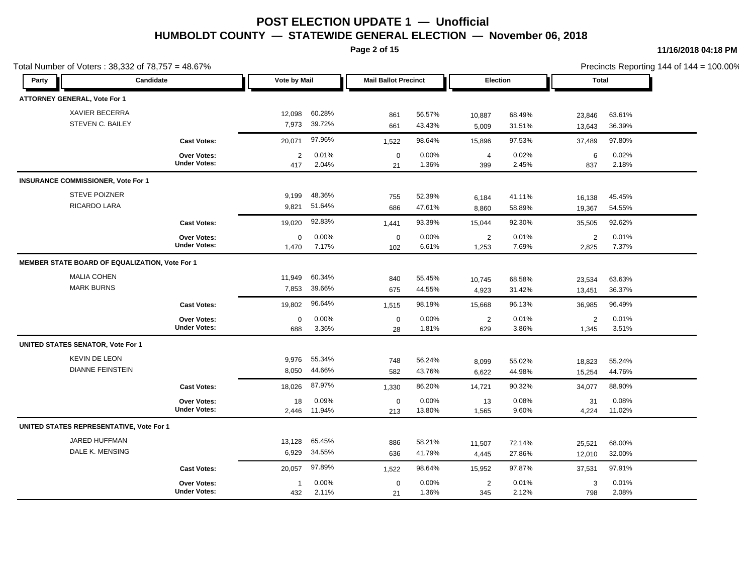**Page 2 of 15**

|                                                 | Total Number of Voters: 38,332 of 78,757 = 48.67%<br>Candidate |                       |                  |                             |                  |                         |                  |                         | Precincts Reporting 144 of 144 = 100.00% |  |
|-------------------------------------------------|----------------------------------------------------------------|-----------------------|------------------|-----------------------------|------------------|-------------------------|------------------|-------------------------|------------------------------------------|--|
| Party                                           |                                                                | Vote by Mail          |                  | <b>Mail Ballot Precinct</b> |                  | <b>Election</b>         |                  | <b>Total</b>            |                                          |  |
| ATTORNEY GENERAL, Vote For 1                    |                                                                |                       |                  |                             |                  |                         |                  |                         |                                          |  |
| <b>XAVIER BECERRA</b>                           |                                                                | 12,098                | 60.28%           | 861                         | 56.57%           | 10,887                  | 68.49%           | 23,846                  | 63.61%                                   |  |
| STEVEN C. BAILEY                                |                                                                | 7,973                 | 39.72%           | 661                         | 43.43%           | 5,009                   | 31.51%           | 13,643                  | 36.39%                                   |  |
|                                                 | <b>Cast Votes:</b>                                             | 20,071                | 97.96%           | 1,522                       | 98.64%           | 15,896                  | 97.53%           | 37,489                  | 97.80%                                   |  |
|                                                 | <b>Over Votes:</b><br><b>Under Votes:</b>                      | $\overline{2}$<br>417 | 0.01%<br>2.04%   | $\mathbf 0$<br>21           | 0.00%<br>1.36%   | $\overline{4}$<br>399   | 0.02%<br>2.45%   | 6<br>837                | 0.02%<br>2.18%                           |  |
| <b>INSURANCE COMMISSIONER, Vote For 1</b>       |                                                                |                       |                  |                             |                  |                         |                  |                         |                                          |  |
| <b>STEVE POIZNER</b><br>RICARDO LARA            |                                                                | 9,199<br>9,821        | 48.36%<br>51.64% | 755<br>686                  | 52.39%<br>47.61% | 6,184<br>8,860          | 41.11%<br>58.89% | 16,138<br>19,367        | 45.45%<br>54.55%                         |  |
|                                                 | <b>Cast Votes:</b>                                             | 19,020                | 92.83%           | 1,441                       | 93.39%           | 15,044                  | 92.30%           | 35,505                  | 92.62%                                   |  |
|                                                 | <b>Over Votes:</b><br><b>Under Votes:</b>                      | $\mathbf 0$<br>1,470  | 0.00%<br>7.17%   | $\mathbf 0$<br>102          | 0.00%<br>6.61%   | $\overline{2}$<br>1,253 | 0.01%<br>7.69%   | 2<br>2,825              | 0.01%<br>7.37%                           |  |
| MEMBER STATE BOARD OF EQUALIZATION, Vote For 1  |                                                                |                       |                  |                             |                  |                         |                  |                         |                                          |  |
| <b>MALIA COHEN</b><br><b>MARK BURNS</b>         |                                                                | 11,949<br>7,853       | 60.34%<br>39.66% | 840<br>675                  | 55.45%<br>44.55% | 10,745<br>4,923         | 68.58%<br>31.42% | 23,534<br>13,451        | 63.63%<br>36.37%                         |  |
|                                                 | <b>Cast Votes:</b>                                             | 19,802                | 96.64%           | 1,515                       | 98.19%           | 15,668                  | 96.13%           | 36,985                  | 96.49%                                   |  |
|                                                 | <b>Over Votes:</b><br><b>Under Votes:</b>                      | $\mathbf 0$<br>688    | 0.00%<br>3.36%   | $\mathbf 0$<br>28           | 0.00%<br>1.81%   | $\overline{2}$<br>629   | 0.01%<br>3.86%   | $\overline{2}$<br>1,345 | 0.01%<br>3.51%                           |  |
| <b>UNITED STATES SENATOR, Vote For 1</b>        |                                                                |                       |                  |                             |                  |                         |                  |                         |                                          |  |
| <b>KEVIN DE LEON</b><br><b>DIANNE FEINSTEIN</b> |                                                                | 9,976<br>8,050        | 55.34%<br>44.66% | 748<br>582                  | 56.24%<br>43.76% | 8,099<br>6,622          | 55.02%<br>44.98% | 18,823<br>15,254        | 55.24%<br>44.76%                         |  |
|                                                 | <b>Cast Votes:</b>                                             | 18,026                | 87.97%           | 1,330                       | 86.20%           | 14,721                  | 90.32%           | 34,077                  | 88.90%                                   |  |
|                                                 | <b>Over Votes:</b><br><b>Under Votes:</b>                      | 18<br>2,446           | 0.09%<br>11.94%  | $\mathbf 0$<br>213          | 0.00%<br>13.80%  | 13<br>1,565             | 0.08%<br>9.60%   | 31<br>4,224             | 0.08%<br>11.02%                          |  |
| UNITED STATES REPRESENTATIVE, Vote For 1        |                                                                |                       |                  |                             |                  |                         |                  |                         |                                          |  |
| JARED HUFFMAN<br>DALE K. MENSING                |                                                                | 13,128<br>6,929       | 65.45%<br>34.55% | 886<br>636                  | 58.21%<br>41.79% | 11,507<br>4,445         | 72.14%<br>27.86% | 25,521<br>12,010        | 68.00%<br>32.00%                         |  |
|                                                 | <b>Cast Votes:</b>                                             | 20,057                | 97.89%           | 1,522                       | 98.64%           | 15,952                  | 97.87%           | 37,531                  | 97.91%                                   |  |
|                                                 | Over Votes:<br><b>Under Votes:</b>                             | $\mathbf{1}$<br>432   | 0.00%<br>2.11%   | $\mathbf 0$<br>21           | 0.00%<br>1.36%   | $\overline{2}$<br>345   | 0.01%<br>2.12%   | 3<br>798                | 0.01%<br>2.08%                           |  |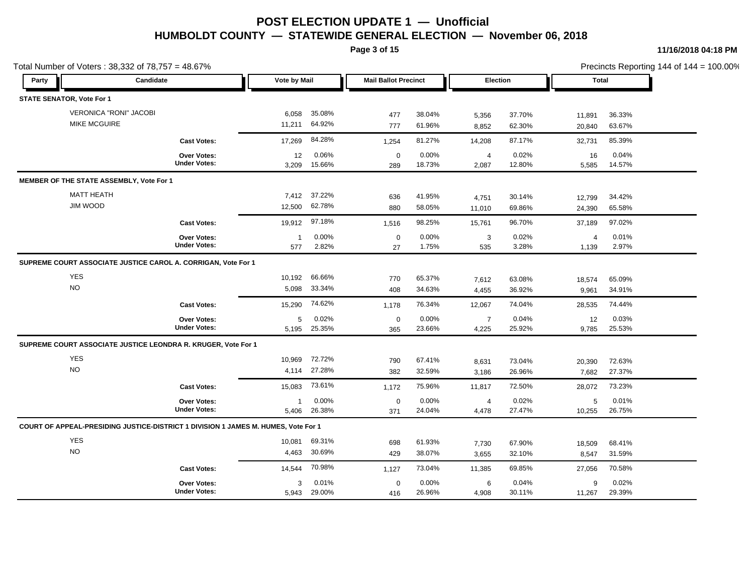**Page 3 of 15**

|       | Total Number of Voters: 38,332 of 78,757 = 48.67%                                  |                                    |                       |                 |                             |                 |                         |                 |                         | Precincts Reporting 144 of 144 = 100.00% |
|-------|------------------------------------------------------------------------------------|------------------------------------|-----------------------|-----------------|-----------------------------|-----------------|-------------------------|-----------------|-------------------------|------------------------------------------|
| Party | Candidate                                                                          |                                    | Vote by Mail          |                 | <b>Mail Ballot Precinct</b> |                 | Election                |                 | Total                   |                                          |
|       | <b>STATE SENATOR, Vote For 1</b>                                                   |                                    |                       |                 |                             |                 |                         |                 |                         |                                          |
|       | <b>VERONICA "RONI" JACOBI</b>                                                      |                                    | 6,058                 | 35.08%          | 477                         | 38.04%          | 5,356                   | 37.70%          | 11,891                  | 36.33%                                   |
|       | <b>MIKE MCGUIRE</b>                                                                |                                    | 11,211                | 64.92%          | 777                         | 61.96%          | 8,852                   | 62.30%          | 20,840                  | 63.67%                                   |
|       |                                                                                    | <b>Cast Votes:</b>                 | 17,269                | 84.28%          | 1,254                       | 81.27%          | 14,208                  | 87.17%          | 32,731                  | 85.39%                                   |
|       |                                                                                    | Over Votes:<br><b>Under Votes:</b> | 12<br>3,209           | 0.06%<br>15.66% | $\mathbf 0$<br>289          | 0.00%<br>18.73% | 4<br>2,087              | 0.02%<br>12.80% | 16<br>5,585             | 0.04%<br>14.57%                          |
|       | MEMBER OF THE STATE ASSEMBLY, Vote For 1                                           |                                    |                       |                 |                             |                 |                         |                 |                         |                                          |
|       | <b>MATT HEATH</b>                                                                  |                                    | 7,412                 | 37.22%          | 636                         | 41.95%          | 4,751                   | 30.14%          | 12,799                  | 34.42%                                   |
|       | JIM WOOD                                                                           |                                    | 12,500                | 62.78%          | 880                         | 58.05%          | 11,010                  | 69.86%          | 24,390                  | 65.58%                                   |
|       |                                                                                    | <b>Cast Votes:</b>                 | 19,912                | 97.18%          | 1,516                       | 98.25%          | 15,761                  | 96.70%          | 37,189                  | 97.02%                                   |
|       |                                                                                    | Over Votes:<br><b>Under Votes:</b> | $\overline{1}$<br>577 | 0.00%<br>2.82%  | $\mathbf 0$<br>27           | 0.00%<br>1.75%  | 3<br>535                | 0.02%<br>3.28%  | $\overline{4}$<br>1,139 | 0.01%<br>2.97%                           |
|       | SUPREME COURT ASSOCIATE JUSTICE CAROL A. CORRIGAN, Vote For 1                      |                                    |                       |                 |                             |                 |                         |                 |                         |                                          |
|       | <b>YES</b>                                                                         |                                    | 10,192                | 66.66%          | 770                         | 65.37%          | 7,612                   | 63.08%          | 18,574                  | 65.09%                                   |
|       | <b>NO</b>                                                                          |                                    | 5,098                 | 33.34%          | 408                         | 34.63%          | 4,455                   | 36.92%          | 9,961                   | 34.91%                                   |
|       |                                                                                    | <b>Cast Votes:</b>                 | 15,290                | 74.62%          | 1,178                       | 76.34%          | 12,067                  | 74.04%          | 28,535                  | 74.44%                                   |
|       |                                                                                    | Over Votes:<br><b>Under Votes:</b> | 5<br>5,195            | 0.02%<br>25.35% | $\mathbf 0$<br>365          | 0.00%<br>23.66% | $\overline{7}$<br>4,225 | 0.04%<br>25.92% | 12<br>9,785             | 0.03%<br>25.53%                          |
|       | SUPREME COURT ASSOCIATE JUSTICE LEONDRA R. KRUGER, Vote For 1                      |                                    |                       |                 |                             |                 |                         |                 |                         |                                          |
|       | <b>YES</b>                                                                         |                                    | 10,969                | 72.72%          | 790                         | 67.41%          | 8,631                   | 73.04%          | 20,390                  | 72.63%                                   |
|       | <b>NO</b>                                                                          |                                    | 4,114                 | 27.28%          | 382                         | 32.59%          | 3,186                   | 26.96%          | 7,682                   | 27.37%                                   |
|       |                                                                                    | <b>Cast Votes:</b>                 | 15,083                | 73.61%          | 1,172                       | 75.96%          | 11,817                  | 72.50%          | 28,072                  | 73.23%                                   |
|       |                                                                                    | Over Votes:<br><b>Under Votes:</b> | $\mathbf{1}$<br>5,406 | 0.00%<br>26.38% | $\mathbf 0$<br>371          | 0.00%<br>24.04% | 4<br>4,478              | 0.02%<br>27.47% | 5<br>10,255             | 0.01%<br>26.75%                          |
|       | COURT OF APPEAL-PRESIDING JUSTICE-DISTRICT 1 DIVISION 1 JAMES M. HUMES, Vote For 1 |                                    |                       |                 |                             |                 |                         |                 |                         |                                          |
|       | <b>YES</b>                                                                         |                                    | 10,081                | 69.31%          | 698                         | 61.93%          | 7,730                   | 67.90%          | 18,509                  | 68.41%                                   |
|       | <b>NO</b>                                                                          |                                    | 4,463                 | 30.69%          | 429                         | 38.07%          | 3,655                   | 32.10%          | 8,547                   | 31.59%                                   |
|       |                                                                                    | <b>Cast Votes:</b>                 | 14,544                | 70.98%          | 1,127                       | 73.04%          | 11,385                  | 69.85%          | 27,056                  | 70.58%                                   |
|       |                                                                                    | Over Votes:                        | 3                     | 0.01%           | $\mathbf 0$                 | 0.00%           | 6                       | 0.04%           | 9                       | 0.02%                                    |
|       |                                                                                    | <b>Under Votes:</b>                | 5,943                 | 29.00%          | 416                         | 26.96%          | 4,908                   | 30.11%          | 11,267                  | 29.39%                                   |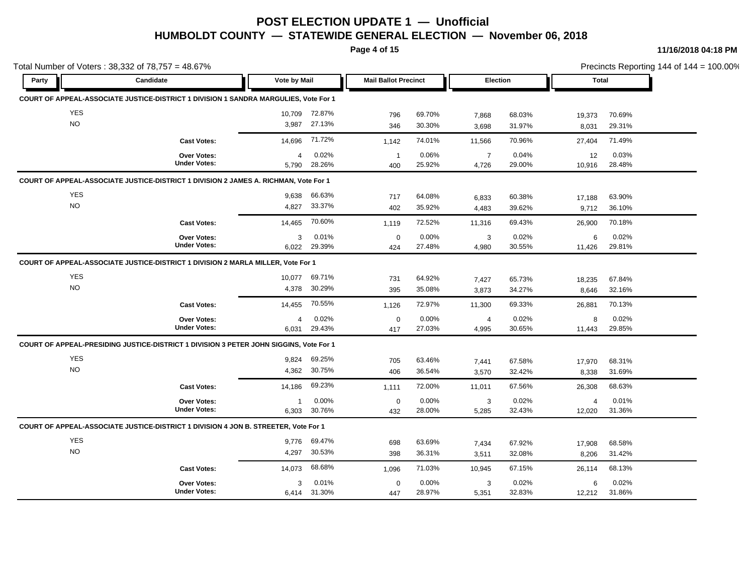**Page 4 of 15**

|                  |                                                                                        |                         |                  |                             |                  |                         |                  |                          |                  | Precincts Reporting 144 of $144 = 100.00\%$ |
|------------------|----------------------------------------------------------------------------------------|-------------------------|------------------|-----------------------------|------------------|-------------------------|------------------|--------------------------|------------------|---------------------------------------------|
| Party            | Candidate                                                                              | Vote by Mail            |                  | <b>Mail Ballot Precinct</b> |                  | Election                |                  | <b>Total</b>             |                  |                                             |
|                  | COURT OF APPEAL-ASSOCIATE JUSTICE-DISTRICT 1 DIVISION 1 SANDRA MARGULIES, Vote For 1   |                         |                  |                             |                  |                         |                  |                          |                  |                                             |
| <b>YES</b>       |                                                                                        |                         | 10,709 72.87%    | 796                         | 69.70%           | 7,868                   | 68.03%           | 19,373                   | 70.69%           |                                             |
| <b>NO</b>        |                                                                                        |                         | 3,987 27.13%     | 346                         | 30.30%           | 3,698                   | 31.97%           | 8,031                    | 29.31%           |                                             |
|                  | <b>Cast Votes:</b>                                                                     | 14,696                  | 71.72%           | 1,142                       | 74.01%           | 11,566                  | 70.96%           | 27,404                   | 71.49%           |                                             |
|                  | Over Votes:<br><b>Under Votes:</b>                                                     | 4<br>5,790              | 0.02%<br>28.26%  | $\overline{1}$<br>400       | 0.06%<br>25.92%  | $\overline{7}$<br>4,726 | 0.04%<br>29.00%  | 12<br>10,916             | 0.03%<br>28.48%  |                                             |
|                  | COURT OF APPEAL-ASSOCIATE JUSTICE-DISTRICT 1 DIVISION 2 JAMES A. RICHMAN, Vote For 1   |                         |                  |                             |                  |                         |                  |                          |                  |                                             |
| <b>YES</b><br>NO |                                                                                        | 9.638<br>4,827          | 66.63%<br>33.37% | 717<br>402                  | 64.08%<br>35.92% | 6,833<br>4,483          | 60.38%<br>39.62% | 17,188<br>9,712          | 63.90%<br>36.10% |                                             |
|                  | <b>Cast Votes:</b>                                                                     | 14,465                  | 70.60%           | 1,119                       | 72.52%           | 11,316                  | 69.43%           | 26,900                   | 70.18%           |                                             |
|                  | <b>Over Votes:</b><br><b>Under Votes:</b>                                              | 3<br>6,022              | 0.01%<br>29.39%  | $\mathbf 0$<br>424          | 0.00%<br>27.48%  | 3<br>4,980              | 0.02%<br>30.55%  | 6<br>11,426              | 0.02%<br>29.81%  |                                             |
|                  | COURT OF APPEAL-ASSOCIATE JUSTICE-DISTRICT 1 DIVISION 2 MARLA MILLER, Vote For 1       |                         |                  |                             |                  |                         |                  |                          |                  |                                             |
| <b>YES</b>       |                                                                                        | 10,077                  | 69.71%           | 731                         | 64.92%           | 7,427                   | 65.73%           | 18,235                   | 67.84%           |                                             |
| <b>NO</b>        |                                                                                        | 4,378                   | 30.29%           | 395                         | 35.08%           | 3,873                   | 34.27%           | 8,646                    | 32.16%           |                                             |
|                  | <b>Cast Votes:</b>                                                                     | 14,455                  | 70.55%           | 1,126                       | 72.97%           | 11,300                  | 69.33%           | 26,881                   | 70.13%           |                                             |
|                  | Over Votes:<br><b>Under Votes:</b>                                                     | $\overline{4}$<br>6,031 | 0.02%<br>29.43%  | $\pmb{0}$<br>417            | 0.00%<br>27.03%  | $\overline{4}$<br>4,995 | 0.02%<br>30.65%  | 8<br>11,443              | 0.02%<br>29.85%  |                                             |
|                  | COURT OF APPEAL-PRESIDING JUSTICE-DISTRICT 1 DIVISION 3 PETER JOHN SIGGINS, Vote For 1 |                         |                  |                             |                  |                         |                  |                          |                  |                                             |
| YES<br><b>NO</b> |                                                                                        | 9,824<br>4,362          | 69.25%<br>30.75% | 705<br>406                  | 63.46%<br>36.54% | 7,441<br>3,570          | 67.58%<br>32.42% | 17,970<br>8,338          | 68.31%<br>31.69% |                                             |
|                  | <b>Cast Votes:</b>                                                                     | 14,186                  | 69.23%           | 1,111                       | 72.00%           | 11,011                  | 67.56%           | 26,308                   | 68.63%           |                                             |
|                  | Over Votes:<br><b>Under Votes:</b>                                                     | $\mathbf{1}$<br>6,303   | 0.00%<br>30.76%  | $\mathbf 0$<br>432          | 0.00%<br>28.00%  | 3<br>5,285              | 0.02%<br>32.43%  | $\overline{4}$<br>12,020 | 0.01%<br>31.36%  |                                             |
|                  | COURT OF APPEAL-ASSOCIATE JUSTICE-DISTRICT 1 DIVISION 4 JON B. STREETER, Vote For 1    |                         |                  |                             |                  |                         |                  |                          |                  |                                             |
| <b>YES</b>       |                                                                                        | 9,776                   | 69.47%           | 698                         | 63.69%           | 7,434                   | 67.92%           | 17,908                   | 68.58%           |                                             |
| <b>NO</b>        |                                                                                        | 4,297                   | 30.53%           | 398                         | 36.31%           | 3,511                   | 32.08%           | 8,206                    | 31.42%           |                                             |
|                  | <b>Cast Votes:</b>                                                                     | 14,073                  | 68.68%           | 1,096                       | 71.03%           | 10,945                  | 67.15%           | 26,114                   | 68.13%           |                                             |
|                  |                                                                                        |                         |                  |                             | 0.00%            | 3                       | 0.02%            | 6                        | 0.02%            |                                             |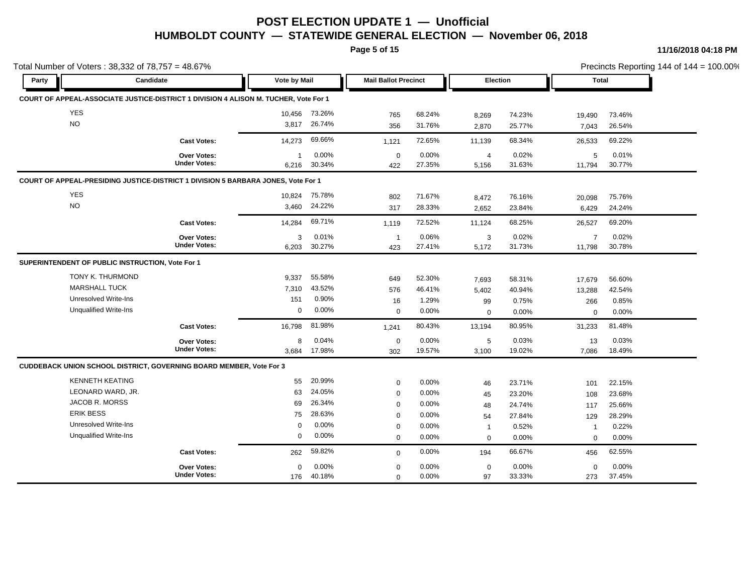**Page 5 of 15**

| Total Number of Voters: 38,332 of 78,757 = 48.67% |                                                                                      |                       |                 |                             |                 |                         |                 |                          |                 | Precincts Reporting 144 of $144 = 100.00\%$ |
|---------------------------------------------------|--------------------------------------------------------------------------------------|-----------------------|-----------------|-----------------------------|-----------------|-------------------------|-----------------|--------------------------|-----------------|---------------------------------------------|
| Party                                             | Candidate                                                                            | <b>Vote by Mail</b>   |                 | <b>Mail Ballot Precinct</b> |                 | Election                |                 | <b>Total</b>             |                 |                                             |
|                                                   | COURT OF APPEAL-ASSOCIATE JUSTICE-DISTRICT 1 DIVISION 4 ALISON M. TUCHER, Vote For 1 |                       |                 |                             |                 |                         |                 |                          |                 |                                             |
| <b>YES</b>                                        |                                                                                      | 10,456                | 73.26%          | 765                         | 68.24%          | 8,269                   | 74.23%          | 19,490                   | 73.46%          |                                             |
| <b>NO</b>                                         |                                                                                      | 3,817                 | 26.74%          | 356                         | 31.76%          | 2,870                   | 25.77%          | 7,043                    | 26.54%          |                                             |
|                                                   | <b>Cast Votes:</b>                                                                   | 14,273                | 69.66%          | 1,121                       | 72.65%          | 11,139                  | 68.34%          | 26,533                   | 69.22%          |                                             |
|                                                   | <b>Over Votes:</b><br><b>Under Votes:</b>                                            | $\mathbf{1}$<br>6,216 | 0.00%<br>30.34% | $\mathbf 0$<br>422          | 0.00%<br>27.35% | $\overline{4}$<br>5,156 | 0.02%<br>31.63% | 5<br>11,794              | 0.01%<br>30.77% |                                             |
|                                                   | COURT OF APPEAL-PRESIDING JUSTICE-DISTRICT 1 DIVISION 5 BARBARA JONES, Vote For 1    |                       |                 |                             |                 |                         |                 |                          |                 |                                             |
| <b>YES</b>                                        |                                                                                      | 10,824                | 75.78%          | 802                         | 71.67%          | 8,472                   | 76.16%          | 20,098                   | 75.76%          |                                             |
| NO                                                |                                                                                      | 3,460                 | 24.22%          | 317                         | 28.33%          | 2,652                   | 23.84%          | 6,429                    | 24.24%          |                                             |
|                                                   | <b>Cast Votes:</b>                                                                   | 14,284                | 69.71%          | 1,119                       | 72.52%          | 11,124                  | 68.25%          | 26,527                   | 69.20%          |                                             |
|                                                   | Over Votes:<br><b>Under Votes:</b>                                                   | 3<br>6,203            | 0.01%<br>30.27% | $\overline{1}$<br>423       | 0.06%<br>27.41% | 3<br>5,172              | 0.02%<br>31.73% | $\overline{7}$<br>11,798 | 0.02%<br>30.78% |                                             |
| SUPERINTENDENT OF PUBLIC INSTRUCTION, Vote For 1  |                                                                                      |                       |                 |                             |                 |                         |                 |                          |                 |                                             |
| TONY K. THURMOND                                  |                                                                                      | 9,337                 | 55.58%          | 649                         | 52.30%          | 7,693                   | 58.31%          | 17,679                   | 56.60%          |                                             |
| <b>MARSHALL TUCK</b>                              |                                                                                      | 7,310                 | 43.52%          | 576                         | 46.41%          | 5,402                   | 40.94%          | 13,288                   | 42.54%          |                                             |
| <b>Unresolved Write-Ins</b>                       |                                                                                      | 151                   | 0.90%           | 16                          | 1.29%           | 99                      | 0.75%           | 266                      | 0.85%           |                                             |
| <b>Unqualified Write-Ins</b>                      |                                                                                      | $\mathbf 0$           | 0.00%           | $\mathbf 0$                 | 0.00%           | $\mathbf 0$             | 0.00%           | 0                        | 0.00%           |                                             |
|                                                   | <b>Cast Votes:</b>                                                                   | 16,798                | 81.98%          | 1,241                       | 80.43%          | 13,194                  | 80.95%          | 31,233                   | 81.48%          |                                             |
|                                                   | Over Votes:<br><b>Under Votes:</b>                                                   | 8<br>3,684            | 0.04%<br>17.98% | $\mathbf 0$<br>302          | 0.00%<br>19.57% | 5<br>3,100              | 0.03%<br>19.02% | 13<br>7,086              | 0.03%<br>18.49% |                                             |
|                                                   | CUDDEBACK UNION SCHOOL DISTRICT, GOVERNING BOARD MEMBER, Vote For 3                  |                       |                 |                             |                 |                         |                 |                          |                 |                                             |
| <b>KENNETH KEATING</b>                            |                                                                                      | 55                    | 20.99%          | $\mathbf 0$                 | 0.00%           |                         | 23.71%          |                          | 22.15%          |                                             |
| LEONARD WARD, JR.                                 |                                                                                      | 63                    | 24.05%          | $\mathbf 0$                 | 0.00%           | 46<br>45                | 23.20%          | 101<br>108               | 23.68%          |                                             |
| JACOB R. MORSS                                    |                                                                                      | 69                    | 26.34%          | $\mathbf 0$                 | 0.00%           | 48                      | 24.74%          | 117                      | 25.66%          |                                             |
| <b>ERIK BESS</b>                                  |                                                                                      | 75                    | 28.63%          | $\mathbf 0$                 | 0.00%           | 54                      | 27.84%          | 129                      | 28.29%          |                                             |
| <b>Unresolved Write-Ins</b>                       |                                                                                      | 0                     | 0.00%           | $\mathbf 0$                 | 0.00%           | $\overline{1}$          | 0.52%           | $\overline{1}$           | 0.22%           |                                             |
| Unqualified Write-Ins                             |                                                                                      | $\mathbf 0$           | 0.00%           | $\mathbf 0$                 | 0.00%           | $\mathbf 0$             | 0.00%           | $\mathbf 0$              | 0.00%           |                                             |
|                                                   | <b>Cast Votes:</b>                                                                   | 262                   | 59.82%          | $\mathbf 0$                 | 0.00%           | 194                     | 66.67%          | 456                      | 62.55%          |                                             |
|                                                   | <b>Over Votes:</b><br><b>Under Votes:</b>                                            | $\mathbf 0$           | 0.00%           | $\mathbf 0$                 | 0.00%           | $\mathbf 0$             | 0.00%           | 0                        | 0.00%           |                                             |
|                                                   |                                                                                      | 176                   | 40.18%          | $\mathbf 0$                 | 0.00%           | 97                      | 33.33%          | 273                      | 37.45%          |                                             |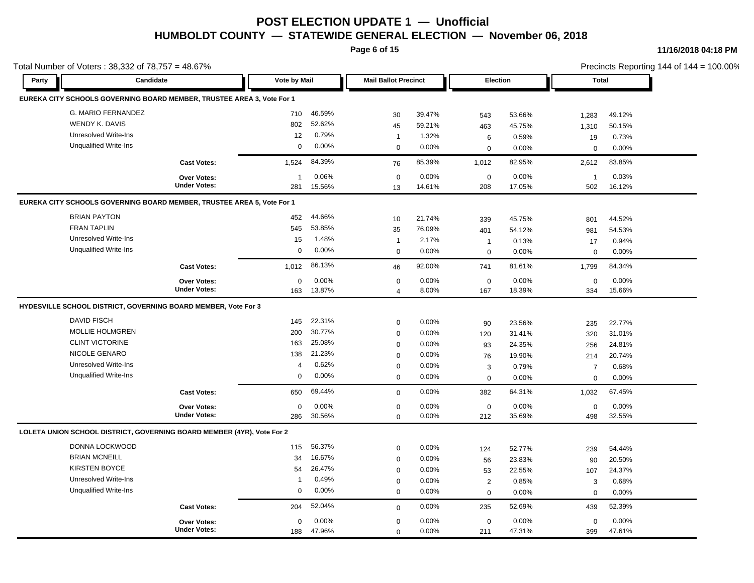**Page 6 of 15**

**11/16/2018 04:18 PM**

|       | Total Number of Voters: 38,332 of 78,757 = 48.67%                      |                     |                     |          |                             |          |                  |        |                         |        | Precincts Reporting 144 of 144 = 100.00% |
|-------|------------------------------------------------------------------------|---------------------|---------------------|----------|-----------------------------|----------|------------------|--------|-------------------------|--------|------------------------------------------|
| Party | Candidate                                                              |                     | <b>Vote by Mail</b> |          | <b>Mail Ballot Precinct</b> |          | <b>Election</b>  |        | <b>Total</b>            |        |                                          |
|       | EUREKA CITY SCHOOLS GOVERNING BOARD MEMBER, TRUSTEE AREA 3, Vote For 1 |                     |                     |          |                             |          |                  |        |                         |        |                                          |
|       | G. MARIO FERNANDEZ                                                     |                     | 710                 | 46.59%   | 30                          | 39.47%   | 543              | 53.66% | 1,283                   | 49.12% |                                          |
|       | WENDY K. DAVIS                                                         |                     | 802                 | 52.62%   | 45                          | 59.21%   | 463              | 45.75% | 1,310                   | 50.15% |                                          |
|       | <b>Unresolved Write-Ins</b>                                            |                     | 12                  | 0.79%    | $\mathbf{1}$                | 1.32%    | 6                | 0.59%  | 19                      | 0.73%  |                                          |
|       | <b>Unqualified Write-Ins</b>                                           |                     | 0                   | 0.00%    | $\mathbf 0$                 | 0.00%    | $\mathbf 0$      | 0.00%  | $\Omega$                | 0.00%  |                                          |
|       |                                                                        | <b>Cast Votes:</b>  | 1.524               | 84.39%   | 76                          | 85.39%   | 1,012            | 82.95% | 2,612                   | 83.85% |                                          |
|       |                                                                        | <b>Over Votes:</b>  | $\overline{1}$      | 0.06%    | $\boldsymbol{0}$            | 0.00%    | $\boldsymbol{0}$ | 0.00%  | $\overline{\mathbf{1}}$ | 0.03%  |                                          |
|       |                                                                        | <b>Under Votes:</b> | 281                 | 15.56%   | 13                          | 14.61%   | 208              | 17.05% | 502                     | 16.12% |                                          |
|       | EUREKA CITY SCHOOLS GOVERNING BOARD MEMBER, TRUSTEE AREA 5, Vote For 1 |                     |                     |          |                             |          |                  |        |                         |        |                                          |
|       | <b>BRIAN PAYTON</b>                                                    |                     | 452                 | 44.66%   | 10                          | 21.74%   | 339              | 45.75% | 801                     | 44.52% |                                          |
|       | <b>FRAN TAPLIN</b>                                                     |                     | 545                 | 53.85%   | 35                          | 76.09%   | 401              | 54.12% | 981                     | 54.53% |                                          |
|       | <b>Unresolved Write-Ins</b>                                            |                     | 15                  | 1.48%    | $\mathbf{1}$                | 2.17%    | $\mathbf{1}$     | 0.13%  | 17                      | 0.94%  |                                          |
|       | <b>Unqualified Write-Ins</b>                                           |                     | $\mathbf 0$         | 0.00%    | $\mathbf 0$                 | 0.00%    | $\mathbf 0$      | 0.00%  | $\mathbf 0$             | 0.00%  |                                          |
|       |                                                                        | <b>Cast Votes:</b>  | 1,012               | 86.13%   | 46                          | 92.00%   | 741              | 81.61% | 1,799                   | 84.34% |                                          |
|       |                                                                        | Over Votes:         | $\mathbf 0$         | 0.00%    | $\mathbf 0$                 | 0.00%    | $\mathbf 0$      | 0.00%  | $\mathbf 0$             | 0.00%  |                                          |
|       |                                                                        | <b>Under Votes:</b> | 163                 | 13.87%   | $\overline{4}$              | 8.00%    | 167              | 18.39% | 334                     | 15.66% |                                          |
|       | HYDESVILLE SCHOOL DISTRICT, GOVERNING BOARD MEMBER, Vote For 3         |                     |                     |          |                             |          |                  |        |                         |        |                                          |
|       | <b>DAVID FISCH</b>                                                     |                     | 145                 | 22.31%   | $\mathbf 0$                 | 0.00%    | 90               | 23.56% | 235                     | 22.77% |                                          |
|       | <b>MOLLIE HOLMGREN</b>                                                 |                     | 200                 | 30.77%   | $\mathbf 0$                 | 0.00%    | 120              | 31.41% | 320                     | 31.01% |                                          |
|       | <b>CLINT VICTORINE</b>                                                 |                     | 163                 | 25.08%   | $\mathbf 0$                 | 0.00%    | 93               | 24.35% | 256                     | 24.81% |                                          |
|       | NICOLE GENARO                                                          |                     | 138                 | 21.23%   | $\mathbf 0$                 | 0.00%    | 76               | 19.90% | 214                     | 20.74% |                                          |
|       | <b>Unresolved Write-Ins</b>                                            |                     | $\overline{4}$      | 0.62%    | $\mathbf 0$                 | 0.00%    | 3                | 0.79%  | $\overline{7}$          | 0.68%  |                                          |
|       | <b>Unqualified Write-Ins</b>                                           |                     | 0                   | 0.00%    | $\mathbf 0$                 | 0.00%    | $\mathbf 0$      | 0.00%  | $\mathbf 0$             | 0.00%  |                                          |
|       |                                                                        | <b>Cast Votes:</b>  | 650                 | 69.44%   | $\mathbf 0$                 | $0.00\%$ | 382              | 64.31% | 1,032                   | 67.45% |                                          |
|       |                                                                        | Over Votes:         | 0                   | 0.00%    | $\mathbf 0$                 | 0.00%    | $\mathbf 0$      | 0.00%  | $\mathbf 0$             | 0.00%  |                                          |
|       |                                                                        | <b>Under Votes:</b> | 286                 | 30.56%   | $\Omega$                    | 0.00%    | 212              | 35.69% | 498                     | 32.55% |                                          |
|       | LOLETA UNION SCHOOL DISTRICT, GOVERNING BOARD MEMBER (4YR), Vote For 2 |                     |                     |          |                             |          |                  |        |                         |        |                                          |
|       | DONNA LOCKWOOD                                                         |                     | 115                 | 56.37%   | $\mathbf 0$                 | 0.00%    | 124              | 52.77% | 239                     | 54.44% |                                          |
|       | <b>BRIAN MCNEILL</b>                                                   |                     | 34                  | 16.67%   | $\mathbf 0$                 | $0.00\%$ | 56               | 23.83% | 90                      | 20.50% |                                          |
|       | <b>KIRSTEN BOYCE</b>                                                   |                     | 54                  | 26.47%   | $\mathbf 0$                 | 0.00%    | 53               | 22.55% | 107                     | 24.37% |                                          |
|       | <b>Unresolved Write-Ins</b>                                            |                     | $\overline{1}$      | 0.49%    | $\mathbf 0$                 | 0.00%    | $\overline{2}$   | 0.85%  | 3                       | 0.68%  |                                          |
|       | <b>Unqualified Write-Ins</b>                                           |                     | 0                   | $0.00\%$ | $\mathbf 0$                 | 0.00%    | $\mathbf 0$      | 0.00%  | $\mathbf 0$             | 0.00%  |                                          |
|       |                                                                        | <b>Cast Votes:</b>  | 204                 | 52.04%   | $\mathbf 0$                 | 0.00%    | 235              | 52.69% | 439                     | 52.39% |                                          |
|       |                                                                        | <b>Over Votes:</b>  | $\mathbf 0$         | 0.00%    | $\mathbf 0$                 | 0.00%    | $\mathbf 0$      | 0.00%  | $\mathbf 0$             | 0.00%  |                                          |
|       |                                                                        | <b>Under Votes:</b> | 188                 | 47.96%   | $\Omega$                    | 0.00%    | 211              | 47.31% | 399                     | 47.61% |                                          |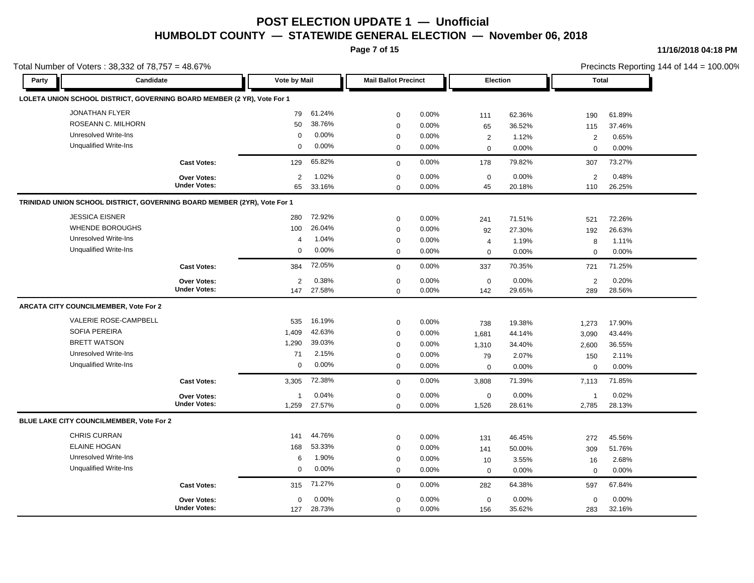**Page 7 of 15**

**11/16/2018 04:18 PM**

|       | Total Number of Voters: 38,332 of 78,757 = 48.67%                        |                     |                     |          |                             |       |                |        |                |        | Precincts Reporting 144 of 144 = 100.00% |
|-------|--------------------------------------------------------------------------|---------------------|---------------------|----------|-----------------------------|-------|----------------|--------|----------------|--------|------------------------------------------|
| Party | Candidate                                                                |                     | <b>Vote by Mail</b> |          | <b>Mail Ballot Precinct</b> |       | Election       |        | <b>Total</b>   |        |                                          |
|       | LOLETA UNION SCHOOL DISTRICT, GOVERNING BOARD MEMBER (2 YR), Vote For 1  |                     |                     |          |                             |       |                |        |                |        |                                          |
|       | <b>JONATHAN FLYER</b>                                                    |                     | 79                  | 61.24%   | $\mathbf 0$                 | 0.00% | 111            | 62.36% | 190            | 61.89% |                                          |
|       | ROSEANN C. MILHORN                                                       |                     | 50                  | 38.76%   | $\mathbf 0$                 | 0.00% | 65             | 36.52% | 115            | 37.46% |                                          |
|       | Unresolved Write-Ins                                                     |                     | 0                   | $0.00\%$ | $\mathbf 0$                 | 0.00% | $\overline{2}$ | 1.12%  | 2              | 0.65%  |                                          |
|       | <b>Unqualified Write-Ins</b>                                             |                     | 0                   | 0.00%    | $\mathbf 0$                 | 0.00% | $\mathbf 0$    | 0.00%  | $\Omega$       | 0.00%  |                                          |
|       |                                                                          | <b>Cast Votes:</b>  | 129                 | 65.82%   | $\mathbf 0$                 | 0.00% | 178            | 79.82% | 307            | 73.27% |                                          |
|       |                                                                          | <b>Over Votes:</b>  | 2                   | 1.02%    | $\mathbf 0$                 | 0.00% | $\mathbf 0$    | 0.00%  | $\overline{2}$ | 0.48%  |                                          |
|       |                                                                          | <b>Under Votes:</b> | 65                  | 33.16%   | $\Omega$                    | 0.00% | 45             | 20.18% | 110            | 26.25% |                                          |
|       | TRINIDAD UNION SCHOOL DISTRICT, GOVERNING BOARD MEMBER (2YR), Vote For 1 |                     |                     |          |                             |       |                |        |                |        |                                          |
|       | <b>JESSICA EISNER</b>                                                    |                     | 280                 | 72.92%   | $\mathbf 0$                 | 0.00% | 241            | 71.51% | 521            | 72.26% |                                          |
|       | <b>WHENDE BOROUGHS</b>                                                   |                     | 100                 | 26.04%   | $\mathbf 0$                 | 0.00% | 92             | 27.30% | 192            | 26.63% |                                          |
|       | <b>Unresolved Write-Ins</b>                                              |                     | $\overline{4}$      | 1.04%    | $\mathbf 0$                 | 0.00% | 4              | 1.19%  | 8              | 1.11%  |                                          |
|       | <b>Unqualified Write-Ins</b>                                             |                     | $\mathbf 0$         | $0.00\%$ | $\Omega$                    | 0.00% | $\mathbf 0$    | 0.00%  | $\Omega$       | 0.00%  |                                          |
|       |                                                                          | <b>Cast Votes:</b>  | 384                 | 72.05%   | $\mathbf 0$                 | 0.00% | 337            | 70.35% | 721            | 71.25% |                                          |
|       |                                                                          | <b>Over Votes:</b>  | $\overline{2}$      | 0.38%    | $\mathbf 0$                 | 0.00% | $\mathbf 0$    | 0.00%  | $\sqrt{2}$     | 0.20%  |                                          |
|       |                                                                          | <b>Under Votes:</b> | 147                 | 27.58%   | $\Omega$                    | 0.00% | 142            | 29.65% | 289            | 28.56% |                                          |
|       | ARCATA CITY COUNCILMEMBER, Vote For 2                                    |                     |                     |          |                             |       |                |        |                |        |                                          |
|       | VALERIE ROSE-CAMPBELL                                                    |                     | 535                 | 16.19%   | $\mathbf 0$                 | 0.00% | 738            | 19.38% | 1,273          | 17.90% |                                          |
|       | SOFIA PEREIRA                                                            |                     | 1,409               | 42.63%   | $\mathbf 0$                 | 0.00% | 1,681          | 44.14% | 3,090          | 43.44% |                                          |
|       | <b>BRETT WATSON</b>                                                      |                     | 1,290               | 39.03%   | $\mathbf 0$                 | 0.00% | 1,310          | 34.40% | 2,600          | 36.55% |                                          |
|       | <b>Unresolved Write-Ins</b>                                              |                     | 71                  | 2.15%    | $\mathbf 0$                 | 0.00% | 79             | 2.07%  | 150            | 2.11%  |                                          |
|       | <b>Unqualified Write-Ins</b>                                             |                     | 0                   | $0.00\%$ | $\mathbf 0$                 | 0.00% | $\mathbf 0$    | 0.00%  | $\mathbf 0$    | 0.00%  |                                          |
|       |                                                                          | <b>Cast Votes:</b>  | 3,305               | 72.38%   | $\Omega$                    | 0.00% | 3,808          | 71.39% | 7,113          | 71.85% |                                          |
|       |                                                                          | <b>Over Votes:</b>  | 1                   | 0.04%    | 0                           | 0.00% | 0              | 0.00%  | -1             | 0.02%  |                                          |
|       |                                                                          | <b>Under Votes:</b> | 1,259               | 27.57%   | $\Omega$                    | 0.00% | 1,526          | 28.61% | 2,785          | 28.13% |                                          |
|       | BLUE LAKE CITY COUNCILMEMBER, Vote For 2                                 |                     |                     |          |                             |       |                |        |                |        |                                          |
|       | <b>CHRIS CURRAN</b>                                                      |                     | 141                 | 44.76%   | $\mathbf 0$                 | 0.00% | 131            | 46.45% | 272            | 45.56% |                                          |
|       | <b>ELAINE HOGAN</b>                                                      |                     | 168                 | 53.33%   | $\mathbf 0$                 | 0.00% | 141            | 50.00% | 309            | 51.76% |                                          |
|       | <b>Unresolved Write-Ins</b>                                              |                     | 6                   | 1.90%    | $\mathbf 0$                 | 0.00% | 10             | 3.55%  | 16             | 2.68%  |                                          |
|       | <b>Unqualified Write-Ins</b>                                             |                     | 0                   | $0.00\%$ | $\mathbf 0$                 | 0.00% | $\mathbf 0$    | 0.00%  | $\mathbf 0$    | 0.00%  |                                          |
|       |                                                                          | <b>Cast Votes:</b>  | 315                 | 71.27%   | $\mathbf 0$                 | 0.00% | 282            | 64.38% | 597            | 67.84% |                                          |
|       |                                                                          | <b>Over Votes:</b>  | 0                   | 0.00%    | $\mathbf 0$                 | 0.00% | $\mathbf 0$    | 0.00%  | $\mathbf 0$    | 0.00%  |                                          |
|       |                                                                          | <b>Under Votes:</b> | 127                 | 28.73%   | $\Omega$                    | 0.00% | 156            | 35.62% | 283            | 32.16% |                                          |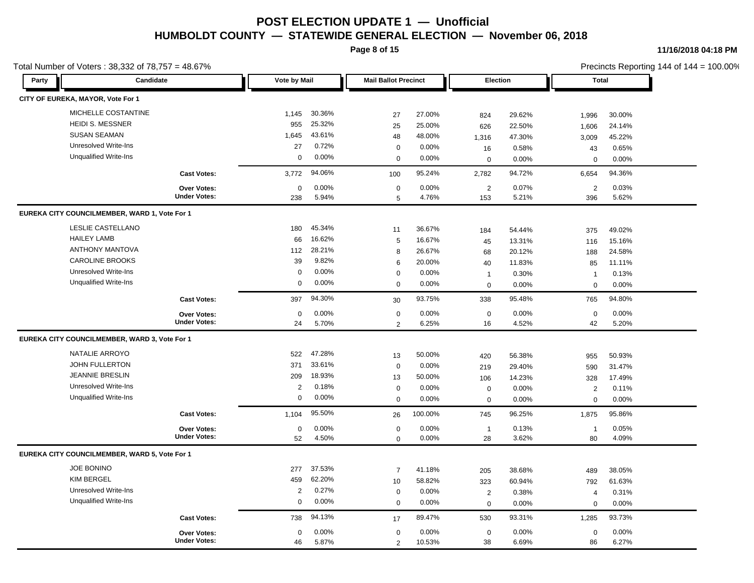**Page 8 of 15**

#### **11/16/2018 04:18 PM**

|       | Total Number of Voters: 38,332 of 78,757 = 48.67% |                                    |                |          |                             |         |                |        |                |        | Precincts Reporting 144 of 144 = 100.00% |
|-------|---------------------------------------------------|------------------------------------|----------------|----------|-----------------------------|---------|----------------|--------|----------------|--------|------------------------------------------|
| Party | Candidate                                         |                                    | Vote by Mail   |          | <b>Mail Ballot Precinct</b> |         | Election       |        | <b>Total</b>   |        |                                          |
|       | CITY OF EUREKA, MAYOR, Vote For 1                 |                                    |                |          |                             |         |                |        |                |        |                                          |
|       | MICHELLE COSTANTINE                               |                                    | 1,145          | 30.36%   | 27                          | 27.00%  | 824            | 29.62% | 1,996          | 30.00% |                                          |
|       | <b>HEIDI S. MESSNER</b>                           |                                    | 955            | 25.32%   | 25                          | 25.00%  | 626            | 22.50% | 1,606          | 24.14% |                                          |
|       | <b>SUSAN SEAMAN</b>                               |                                    | 1,645          | 43.61%   | 48                          | 48.00%  | 1,316          | 47.30% | 3,009          | 45.22% |                                          |
|       | <b>Unresolved Write-Ins</b>                       |                                    | 27             | 0.72%    | $\mathbf 0$                 | 0.00%   | 16             | 0.58%  | 43             | 0.65%  |                                          |
|       | <b>Unqualified Write-Ins</b>                      |                                    | $\mathbf 0$    | 0.00%    | $\mathbf 0$                 | 0.00%   | $\mathbf 0$    | 0.00%  | $\mathbf 0$    | 0.00%  |                                          |
|       |                                                   | <b>Cast Votes:</b>                 | 3,772          | 94.06%   | 100                         | 95.24%  | 2,782          | 94.72% | 6,654          | 94.36% |                                          |
|       |                                                   | Over Votes:<br><b>Under Votes:</b> | $\mathbf 0$    | 0.00%    | $\mathbf 0$                 | 0.00%   | 2              | 0.07%  | 2              | 0.03%  |                                          |
|       |                                                   |                                    | 238            | 5.94%    | 5                           | 4.76%   | 153            | 5.21%  | 396            | 5.62%  |                                          |
|       | EUREKA CITY COUNCILMEMBER, WARD 1, Vote For 1     |                                    |                |          |                             |         |                |        |                |        |                                          |
|       | LESLIE CASTELLANO                                 |                                    | 180            | 45.34%   | 11                          | 36.67%  | 184            | 54.44% | 375            | 49.02% |                                          |
|       | <b>HAILEY LAMB</b>                                |                                    | 66             | 16.62%   | 5                           | 16.67%  | 45             | 13.31% | 116            | 15.16% |                                          |
|       | <b>ANTHONY MANTOVA</b>                            |                                    | 112            | 28.21%   | 8                           | 26.67%  | 68             | 20.12% | 188            | 24.58% |                                          |
|       | <b>CAROLINE BROOKS</b>                            |                                    | 39             | 9.82%    | 6                           | 20.00%  | 40             | 11.83% | 85             | 11.11% |                                          |
|       | <b>Unresolved Write-Ins</b>                       |                                    | $\mathbf 0$    | 0.00%    | $\Omega$                    | 0.00%   | $\mathbf{1}$   | 0.30%  | $\overline{1}$ | 0.13%  |                                          |
|       | <b>Unqualified Write-Ins</b>                      |                                    | $\mathbf 0$    | 0.00%    | $\mathbf 0$                 | 0.00%   | $\mathbf 0$    | 0.00%  | $\mathbf 0$    | 0.00%  |                                          |
|       |                                                   | <b>Cast Votes:</b>                 | 397            | 94.30%   | 30                          | 93.75%  | 338            | 95.48% | 765            | 94.80% |                                          |
|       |                                                   | <b>Over Votes:</b>                 | $\mathbf 0$    | 0.00%    | $\mathbf 0$                 | 0.00%   | $\mathsf 0$    | 0.00%  | $\mathbf 0$    | 0.00%  |                                          |
|       |                                                   | <b>Under Votes:</b>                | 24             | 5.70%    | 2                           | 6.25%   | 16             | 4.52%  | 42             | 5.20%  |                                          |
|       | EUREKA CITY COUNCILMEMBER, WARD 3, Vote For 1     |                                    |                |          |                             |         |                |        |                |        |                                          |
|       | NATALIE ARROYO                                    |                                    | 522            | 47.28%   | 13                          | 50.00%  | 420            | 56.38% | 955            | 50.93% |                                          |
|       | <b>JOHN FULLERTON</b>                             |                                    | 371            | 33.61%   | $\mathbf 0$                 | 0.00%   | 219            | 29.40% | 590            | 31.47% |                                          |
|       | <b>JEANNIE BRESLIN</b>                            |                                    | 209            | 18.93%   | 13                          | 50.00%  | 106            | 14.23% | 328            | 17.49% |                                          |
|       | <b>Unresolved Write-Ins</b>                       |                                    | $\overline{2}$ | 0.18%    | $\mathbf 0$                 | 0.00%   | $\mathsf 0$    | 0.00%  | $\overline{2}$ | 0.11%  |                                          |
|       | <b>Unqualified Write-Ins</b>                      |                                    | 0              | 0.00%    | $\Omega$                    | 0.00%   | 0              | 0.00%  | $\mathbf 0$    | 0.00%  |                                          |
|       |                                                   | <b>Cast Votes:</b>                 | 1,104          | 95.50%   | 26                          | 100.00% | 745            | 96.25% | 1,875          | 95.86% |                                          |
|       |                                                   | Over Votes:                        | 0              | $0.00\%$ | $\mathbf 0$                 | 0.00%   | $\overline{1}$ | 0.13%  | $\overline{1}$ | 0.05%  |                                          |
|       |                                                   | <b>Under Votes:</b>                | 52             | 4.50%    | $\mathbf 0$                 | 0.00%   | 28             | 3.62%  | 80             | 4.09%  |                                          |
|       | EUREKA CITY COUNCILMEMBER, WARD 5, Vote For 1     |                                    |                |          |                             |         |                |        |                |        |                                          |
|       | <b>JOE BONINO</b>                                 |                                    | 277            | 37.53%   | $\overline{7}$              | 41.18%  | 205            | 38.68% | 489            | 38.05% |                                          |
|       | <b>KIM BERGEL</b>                                 |                                    | 459            | 62.20%   | 10                          | 58.82%  | 323            | 60.94% | 792            | 61.63% |                                          |
|       | <b>Unresolved Write-Ins</b>                       |                                    | 2              | 0.27%    | $\mathbf 0$                 | 0.00%   | 2              | 0.38%  | $\overline{4}$ | 0.31%  |                                          |
|       | <b>Unqualified Write-Ins</b>                      |                                    | $\mathbf 0$    | 0.00%    | $\Omega$                    | 0.00%   | $\mathbf 0$    | 0.00%  | $\mathbf 0$    | 0.00%  |                                          |
|       |                                                   | <b>Cast Votes:</b>                 | 738            | 94.13%   | 17                          | 89.47%  | 530            | 93.31% | 1,285          | 93.73% |                                          |
|       |                                                   | <b>Over Votes:</b>                 | 0              | 0.00%    | $\mathbf 0$                 | 0.00%   | $\mathsf 0$    | 0.00%  | $\mathbf 0$    | 0.00%  |                                          |
|       |                                                   | <b>Under Votes:</b>                | 46             | 5.87%    | 2                           | 10.53%  | 38             | 6.69%  | 86             | 6.27%  |                                          |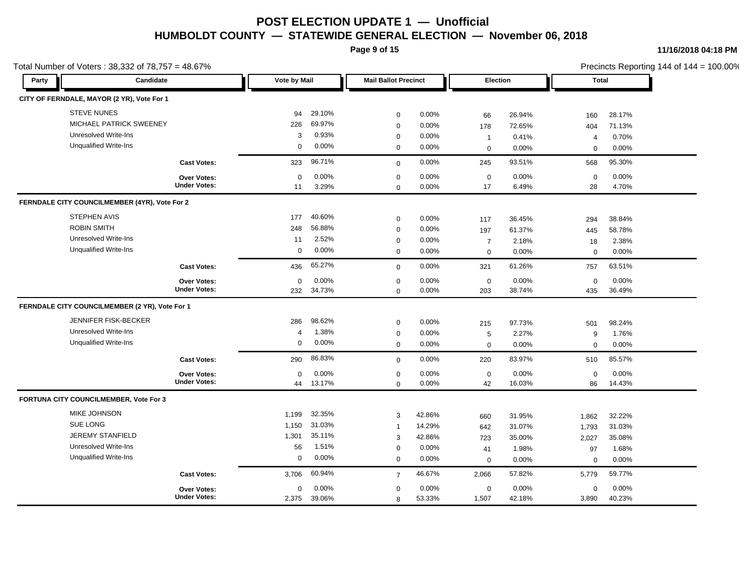**Page 9 of 15**

#### **11/16/2018 04:18 PM**

|       | Total Number of Voters: 38,332 of 78,757 = 48.67% |              |        |                             |        |                     |        |                |        | Precincts Reporting 144 of 144 = 100.00% |
|-------|---------------------------------------------------|--------------|--------|-----------------------------|--------|---------------------|--------|----------------|--------|------------------------------------------|
| Party | <b>Candidate</b>                                  | Vote by Mail |        | <b>Mail Ballot Precinct</b> |        | Election            |        | Total          |        |                                          |
|       | CITY OF FERNDALE, MAYOR (2 YR), Vote For 1        |              |        |                             |        |                     |        |                |        |                                          |
|       | <b>STEVE NUNES</b>                                | 94           | 29.10% | $\mathbf 0$                 | 0.00%  | 66                  | 26.94% | 160            | 28.17% |                                          |
|       | MICHAEL PATRICK SWEENEY                           | 226          | 69.97% | $\mathbf 0$                 | 0.00%  | 178                 | 72.65% | 404            | 71.13% |                                          |
|       | <b>Unresolved Write-Ins</b>                       | 3            | 0.93%  | $\mathbf 0$                 | 0.00%  | $\mathbf{1}$        | 0.41%  | $\overline{4}$ | 0.70%  |                                          |
|       | <b>Unqualified Write-Ins</b>                      | 0            | 0.00%  | $\mathbf 0$                 | 0.00%  | $\mathbf 0$         | 0.00%  | $\mathbf 0$    | 0.00%  |                                          |
|       | <b>Cast Votes:</b>                                | 323          | 96.71% | $\mathbf 0$                 | 0.00%  | 245                 | 93.51% | 568            | 95.30% |                                          |
|       | <b>Over Votes:</b>                                | $\Omega$     | 0.00%  | $\mathbf 0$                 | 0.00%  | $\mathsf 0$         | 0.00%  | $\mathbf 0$    | 0.00%  |                                          |
|       | <b>Under Votes:</b>                               | 11           | 3.29%  | $\mathbf 0$                 | 0.00%  | 17                  | 6.49%  | 28             | 4.70%  |                                          |
|       | FERNDALE CITY COUNCILMEMBER (4YR), Vote For 2     |              |        |                             |        |                     |        |                |        |                                          |
|       | <b>STEPHEN AVIS</b>                               | 177          | 40.60% | $\mathbf 0$                 | 0.00%  | 117                 | 36.45% | 294            | 38.84% |                                          |
|       | <b>ROBIN SMITH</b>                                | 248          | 56.88% | $\mathbf 0$                 | 0.00%  | 197                 | 61.37% | 445            | 58.78% |                                          |
|       | Unresolved Write-Ins                              | 11           | 2.52%  | $\mathbf 0$                 | 0.00%  | $\overline{7}$      | 2.18%  | 18             | 2.38%  |                                          |
|       | <b>Unqualified Write-Ins</b>                      | 0            | 0.00%  | $\mathbf 0$                 | 0.00%  | $\mathbf 0$         | 0.00%  | $\mathbf 0$    | 0.00%  |                                          |
|       | <b>Cast Votes:</b>                                | 436          | 65.27% | $\mathbf 0$                 | 0.00%  | 321                 | 61.26% | 757            | 63.51% |                                          |
|       | <b>Over Votes:</b>                                | $\mathbf 0$  | 0.00%  | $\mathbf 0$                 | 0.00%  | $\mathsf{O}\xspace$ | 0.00%  | $\mathbf 0$    | 0.00%  |                                          |
|       | <b>Under Votes:</b>                               | 232          | 34.73% | $\Omega$                    | 0.00%  | 203                 | 38.74% | 435            | 36.49% |                                          |
|       | FERNDALE CITY COUNCILMEMBER (2 YR), Vote For 1    |              |        |                             |        |                     |        |                |        |                                          |
|       | JENNIFER FISK-BECKER                              | 286          | 98.62% | $\mathbf 0$                 | 0.00%  | 215                 | 97.73% | 501            | 98.24% |                                          |
|       | <b>Unresolved Write-Ins</b>                       | 4            | 1.38%  | $\mathbf 0$                 | 0.00%  | 5                   | 2.27%  | 9              | 1.76%  |                                          |
|       | <b>Unqualified Write-Ins</b>                      | $\mathbf 0$  | 0.00%  | $\mathbf 0$                 | 0.00%  | $\mathbf 0$         | 0.00%  | $\mathbf 0$    | 0.00%  |                                          |
|       | <b>Cast Votes:</b>                                | 290          | 86.83% | $\mathbf 0$                 | 0.00%  | 220                 | 83.97% | 510            | 85.57% |                                          |
|       | <b>Over Votes:</b>                                | $\Omega$     | 0.00%  | $\mathbf 0$                 | 0.00%  | $\mathbf 0$         | 0.00%  | $\mathbf 0$    | 0.00%  |                                          |
|       | <b>Under Votes:</b>                               | 44           | 13.17% | $\Omega$                    | 0.00%  | 42                  | 16.03% | 86             | 14.43% |                                          |
|       | FORTUNA CITY COUNCILMEMBER, Vote For 3            |              |        |                             |        |                     |        |                |        |                                          |
|       | MIKE JOHNSON                                      | 1,199        | 32.35% | 3                           | 42.86% | 660                 | 31.95% | 1,862          | 32.22% |                                          |
|       | SUE LONG                                          | 1,150        | 31.03% | $\mathbf{1}$                | 14.29% | 642                 | 31.07% | 1,793          | 31.03% |                                          |
|       | <b>JEREMY STANFIELD</b>                           | 1,301        | 35.11% | 3                           | 42.86% | 723                 | 35.00% | 2,027          | 35.08% |                                          |
|       | <b>Unresolved Write-Ins</b>                       | 56           | 1.51%  | $\mathbf 0$                 | 0.00%  | 41                  | 1.98%  | 97             | 1.68%  |                                          |
|       | <b>Unqualified Write-Ins</b>                      | 0            | 0.00%  | $\mathbf 0$                 | 0.00%  | $\mathbf 0$         | 0.00%  | $\mathbf 0$    | 0.00%  |                                          |
|       | <b>Cast Votes:</b>                                | 3,706        | 60.94% | $\overline{7}$              | 46.67% | 2,066               | 57.82% | 5,779          | 59.77% |                                          |
|       | Over Votes:                                       | $\mathbf 0$  | 0.00%  | $\mathbf 0$                 | 0.00%  | $\mathbf 0$         | 0.00%  | $\mathbf 0$    | 0.00%  |                                          |
|       | <b>Under Votes:</b>                               | 2,375        | 39.06% | 8                           | 53.33% | 1,507               | 42.18% | 3,890          | 40.23% |                                          |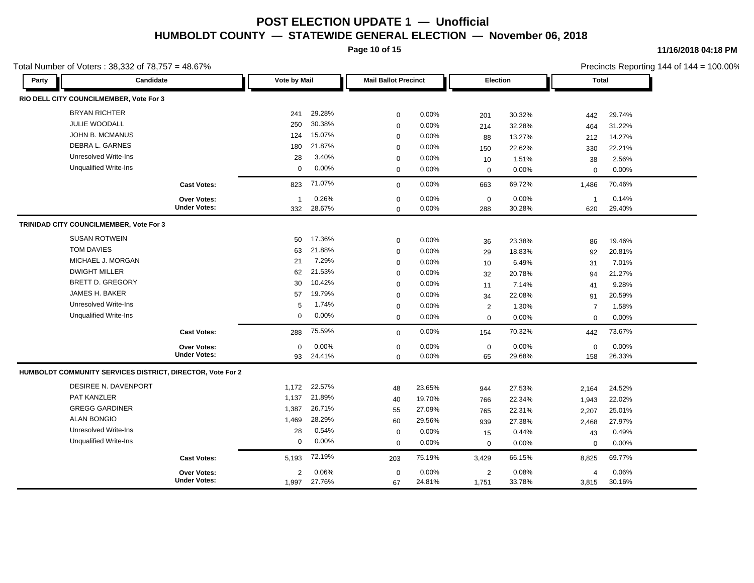**Page 10 of 15**

#### **11/16/2018 04:18 PM**

Precincts Reporting 144 of 144 = 100.00%

| Party | Candidate                                                  |                     | Vote by Mail |        | <b>Mail Ballot Precinct</b> |        |             | Election | <b>Total</b>   |        |  |
|-------|------------------------------------------------------------|---------------------|--------------|--------|-----------------------------|--------|-------------|----------|----------------|--------|--|
|       | RIO DELL CITY COUNCILMEMBER, Vote For 3                    |                     |              |        |                             |        |             |          |                |        |  |
|       | <b>BRYAN RICHTER</b>                                       |                     | 241          | 29.28% | $\mathbf 0$                 | 0.00%  | 201         | 30.32%   | 442            | 29.74% |  |
|       | JULIE WOODALL                                              |                     | 250          | 30.38% | $\mathbf 0$                 | 0.00%  | 214         | 32.28%   | 464            | 31.22% |  |
|       | JOHN B. MCMANUS                                            |                     | 124          | 15.07% | $\mathbf 0$                 | 0.00%  | 88          | 13.27%   | 212            | 14.27% |  |
|       | <b>DEBRA L. GARNES</b>                                     |                     | 180          | 21.87% | $\mathbf 0$                 | 0.00%  | 150         | 22.62%   | 330            | 22.21% |  |
|       | Unresolved Write-Ins                                       |                     | 28           | 3.40%  | $\mathbf 0$                 | 0.00%  | 10          | 1.51%    | 38             | 2.56%  |  |
|       | <b>Unqualified Write-Ins</b>                               |                     | $\mathbf 0$  | 0.00%  | $\mathbf 0$                 | 0.00%  | $\mathbf 0$ | 0.00%    | 0              | 0.00%  |  |
|       |                                                            | <b>Cast Votes:</b>  | 823          | 71.07% | $\mathbf 0$                 | 0.00%  | 663         | 69.72%   | 1,486          | 70.46% |  |
|       |                                                            | <b>Over Votes:</b>  | $\mathbf{1}$ | 0.26%  | $\mathbf 0$                 | 0.00%  | $\mathbf 0$ | 0.00%    | $\overline{1}$ | 0.14%  |  |
|       |                                                            | <b>Under Votes:</b> | 332          | 28.67% | $\mathbf 0$                 | 0.00%  | 288         | 30.28%   | 620            | 29.40% |  |
|       | TRINIDAD CITY COUNCILMEMBER, Vote For 3                    |                     |              |        |                             |        |             |          |                |        |  |
|       | <b>SUSAN ROTWEIN</b>                                       |                     | 50           | 17.36% | $\mathbf 0$                 | 0.00%  | 36          | 23.38%   | 86             | 19.46% |  |
|       | TOM DAVIES                                                 |                     | 63           | 21.88% | $\mathbf 0$                 | 0.00%  | 29          | 18.83%   | 92             | 20.81% |  |
|       | MICHAEL J. MORGAN                                          |                     | 21           | 7.29%  | $\mathbf 0$                 | 0.00%  | 10          | 6.49%    | 31             | 7.01%  |  |
|       | <b>DWIGHT MILLER</b>                                       |                     | 62           | 21.53% | $\mathbf 0$                 | 0.00%  | 32          | 20.78%   | 94             | 21.27% |  |
|       | <b>BRETT D. GREGORY</b>                                    |                     | 30           | 10.42% | $\mathbf 0$                 | 0.00%  | 11          | 7.14%    | 41             | 9.28%  |  |
|       | <b>JAMES H. BAKER</b>                                      |                     | 57           | 19.79% | $\mathbf 0$                 | 0.00%  | 34          | 22.08%   | 91             | 20.59% |  |
|       | <b>Unresolved Write-Ins</b>                                |                     | 5            | 1.74%  | $\mathbf 0$                 | 0.00%  | 2           | 1.30%    | $\overline{7}$ | 1.58%  |  |
|       | <b>Unqualified Write-Ins</b>                               |                     | $\mathbf 0$  | 0.00%  | $\mathbf 0$                 | 0.00%  | $\mathbf 0$ | 0.00%    | $\mathbf 0$    | 0.00%  |  |
|       |                                                            | <b>Cast Votes:</b>  | 288          | 75.59% | $\mathbf 0$                 | 0.00%  | 154         | 70.32%   | 442            | 73.67% |  |
|       |                                                            | Over Votes:         | $\Omega$     | 0.00%  | $\mathbf 0$                 | 0.00%  | $\mathbf 0$ | 0.00%    | $\mathbf 0$    | 0.00%  |  |
|       |                                                            | <b>Under Votes:</b> | 93           | 24.41% | $\Omega$                    | 0.00%  | 65          | 29.68%   | 158            | 26.33% |  |
|       | HUMBOLDT COMMUNITY SERVICES DISTRICT, DIRECTOR, Vote For 2 |                     |              |        |                             |        |             |          |                |        |  |
|       | DESIREE N. DAVENPORT                                       |                     | 1,172        | 22.57% | 48                          | 23.65% | 944         | 27.53%   | 2,164          | 24.52% |  |
|       | <b>PAT KANZLER</b>                                         |                     | 1,137        | 21.89% | 40                          | 19.70% | 766         | 22.34%   | 1,943          | 22.02% |  |
|       | <b>GREGG GARDINER</b>                                      |                     | 1,387        | 26.71% | 55                          | 27.09% | 765         | 22.31%   | 2,207          | 25.01% |  |
|       | <b>ALAN BONGIO</b>                                         |                     | 1,469        | 28.29% | 60                          | 29.56% | 939         | 27.38%   | 2,468          | 27.97% |  |
|       | Unresolved Write-Ins                                       |                     | 28           | 0.54%  | $\mathbf 0$                 | 0.00%  | 15          | 0.44%    | 43             | 0.49%  |  |
|       | <b>Unqualified Write-Ins</b>                               |                     | $\Omega$     | 0.00%  | $\Omega$                    | 0.00%  | $\mathbf 0$ | 0.00%    | $\mathbf 0$    | 0.00%  |  |
|       |                                                            | <b>Cast Votes:</b>  | 5,193        | 72.19% | 203                         | 75.19% | 3,429       | 66.15%   | 8,825          | 69.77% |  |
|       |                                                            | <b>Over Votes:</b>  | 2            | 0.06%  | $\mathbf 0$                 | 0.00%  | 2           | 0.08%    | 4              | 0.06%  |  |
|       |                                                            | <b>Under Votes:</b> | 1,997        | 27.76% | 67                          | 24.81% | 1,751       | 33.78%   | 3,815          | 30.16% |  |

Total Number of Voters : 38,332 of 78,757 = 48.67%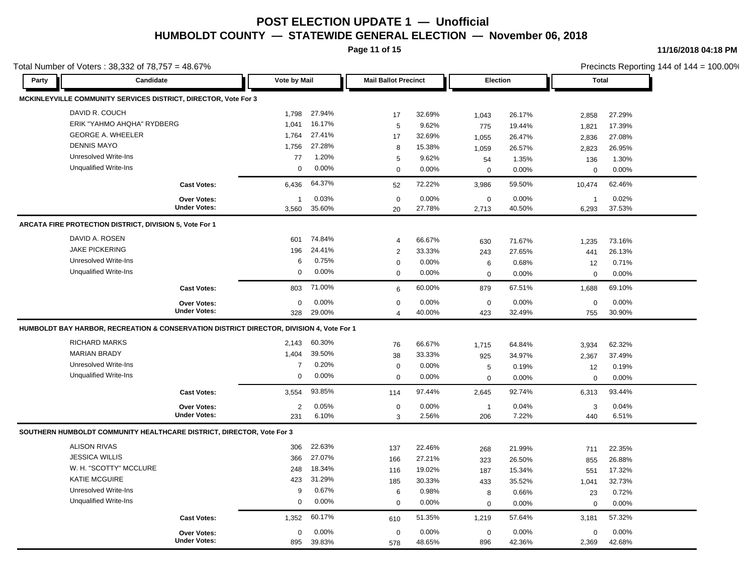**Page 11 of 15**

**11/16/2018 04:18 PM**

|       | Total Number of Voters: 38,332 of 78,757 = 48.67%                                        |                     |                |          |                             |        |                  |        |              |        | Precincts Reporting 144 of 144 = 100.00% |
|-------|------------------------------------------------------------------------------------------|---------------------|----------------|----------|-----------------------------|--------|------------------|--------|--------------|--------|------------------------------------------|
| Party | Candidate                                                                                |                     | Vote by Mail   |          | <b>Mail Ballot Precinct</b> |        | Election         |        | <b>Total</b> |        |                                          |
|       | MCKINLEYVILLE COMMUNITY SERVICES DISTRICT, DIRECTOR, Vote For 3                          |                     |                |          |                             |        |                  |        |              |        |                                          |
|       | DAVID R. COUCH                                                                           |                     | 1,798          | 27.94%   | 17                          | 32.69% | 1,043            | 26.17% | 2,858        | 27.29% |                                          |
|       | ERIK "YAHMO AHQHA" RYDBERG                                                               |                     | 1,041          | 16.17%   | 5                           | 9.62%  | 775              | 19.44% | 1,821        | 17.39% |                                          |
|       | <b>GEORGE A. WHEELER</b>                                                                 |                     | 1,764          | 27.41%   | 17                          | 32.69% | 1,055            | 26.47% | 2,836        | 27.08% |                                          |
|       | <b>DENNIS MAYO</b>                                                                       |                     | 1,756          | 27.28%   | 8                           | 15.38% | 1,059            | 26.57% | 2,823        | 26.95% |                                          |
|       | <b>Unresolved Write-Ins</b>                                                              |                     | 77             | 1.20%    | 5                           | 9.62%  | 54               | 1.35%  | 136          | 1.30%  |                                          |
|       | <b>Unqualified Write-Ins</b>                                                             |                     | 0              | $0.00\%$ | $\mathbf 0$                 | 0.00%  | $\mathbf 0$      | 0.00%  | $\mathbf 0$  | 0.00%  |                                          |
|       |                                                                                          | <b>Cast Votes:</b>  | 6,436          | 64.37%   | 52                          | 72.22% | 3,986            | 59.50% | 10,474       | 62.46% |                                          |
|       |                                                                                          | Over Votes:         | $\mathbf{1}$   | 0.03%    | $\mathbf 0$                 | 0.00%  | $\boldsymbol{0}$ | 0.00%  | $\mathbf{1}$ | 0.02%  |                                          |
|       |                                                                                          | <b>Under Votes:</b> | 3,560          | 35.60%   | 20                          | 27.78% | 2,713            | 40.50% | 6,293        | 37.53% |                                          |
|       | ARCATA FIRE PROTECTION DISTRICT, DIVISION 5, Vote For 1                                  |                     |                |          |                             |        |                  |        |              |        |                                          |
|       | DAVID A. ROSEN                                                                           |                     | 601            | 74.84%   | 4                           | 66.67% | 630              | 71.67% | 1,235        | 73.16% |                                          |
|       | <b>JAKE PICKERING</b>                                                                    |                     | 196            | 24.41%   | $\sqrt{2}$                  | 33.33% | 243              | 27.65% | 441          | 26.13% |                                          |
|       | <b>Unresolved Write-Ins</b>                                                              |                     | 6              | 0.75%    | $\mathbf 0$                 | 0.00%  | 6                | 0.68%  | 12           | 0.71%  |                                          |
|       | <b>Unqualified Write-Ins</b>                                                             |                     | $\mathbf 0$    | $0.00\%$ | $\mathbf 0$                 | 0.00%  | $\mathbf 0$      | 0.00%  | $\mathbf 0$  | 0.00%  |                                          |
|       |                                                                                          | <b>Cast Votes:</b>  | 803            | 71.00%   | 6                           | 60.00% | 879              | 67.51% | 1,688        | 69.10% |                                          |
|       |                                                                                          | Over Votes:         | 0              | $0.00\%$ | $\mathbf 0$                 | 0.00%  | $\mathbf 0$      | 0.00%  | $\mathbf 0$  | 0.00%  |                                          |
|       |                                                                                          | <b>Under Votes:</b> | 328            | 29.00%   | 4                           | 40.00% | 423              | 32.49% | 755          | 30.90% |                                          |
|       | HUMBOLDT BAY HARBOR, RECREATION & CONSERVATION DISTRICT DIRECTOR, DIVISION 4, Vote For 1 |                     |                |          |                             |        |                  |        |              |        |                                          |
|       | <b>RICHARD MARKS</b>                                                                     |                     | 2,143          | 60.30%   | 76                          | 66.67% | 1,715            | 64.84% | 3,934        | 62.32% |                                          |
|       | <b>MARIAN BRADY</b>                                                                      |                     | 1,404          | 39.50%   | 38                          | 33.33% | 925              | 34.97% | 2,367        | 37.49% |                                          |
|       | <b>Unresolved Write-Ins</b>                                                              |                     | $\overline{7}$ | 0.20%    | $\mathbf 0$                 | 0.00%  | 5                | 0.19%  | 12           | 0.19%  |                                          |
|       | <b>Unqualified Write-Ins</b>                                                             |                     | $\mathbf 0$    | $0.00\%$ | $\Omega$                    | 0.00%  | $\mathbf 0$      | 0.00%  | $\mathbf 0$  | 0.00%  |                                          |
|       |                                                                                          | <b>Cast Votes:</b>  | 3,554          | 93.85%   | 114                         | 97.44% | 2,645            | 92.74% | 6,313        | 93.44% |                                          |
|       |                                                                                          | Over Votes:         | $\overline{2}$ | 0.05%    | 0                           | 0.00%  | $\mathbf{1}$     | 0.04%  | 3            | 0.04%  |                                          |
|       |                                                                                          | <b>Under Votes:</b> | 231            | 6.10%    | 3                           | 2.56%  | 206              | 7.22%  | 440          | 6.51%  |                                          |
|       | SOUTHERN HUMBOLDT COMMUNITY HEALTHCARE DISTRICT, DIRECTOR, Vote For 3                    |                     |                |          |                             |        |                  |        |              |        |                                          |
|       | <b>ALISON RIVAS</b>                                                                      |                     | 306            | 22.63%   | 137                         | 22.46% | 268              | 21.99% | 711          | 22.35% |                                          |
|       | <b>JESSICA WILLIS</b>                                                                    |                     | 366            | 27.07%   | 166                         | 27.21% | 323              | 26.50% | 855          | 26.88% |                                          |
|       | W. H. "SCOTTY" MCCLURE                                                                   |                     | 248            | 18.34%   | 116                         | 19.02% | 187              | 15.34% | 551          | 17.32% |                                          |
|       | <b>KATIE MCGUIRE</b>                                                                     |                     | 423            | 31.29%   | 185                         | 30.33% | 433              | 35.52% | 1,041        | 32.73% |                                          |
|       | <b>Unresolved Write-Ins</b>                                                              |                     | 9              | 0.67%    | 6                           | 0.98%  | 8                | 0.66%  | 23           | 0.72%  |                                          |
|       | <b>Unqualified Write-Ins</b>                                                             |                     | $\mathbf 0$    | 0.00%    | $\mathbf 0$                 | 0.00%  | $\mathbf 0$      | 0.00%  | $\mathbf 0$  | 0.00%  |                                          |
|       |                                                                                          | <b>Cast Votes:</b>  | 1,352          | 60.17%   | 610                         | 51.35% | 1,219            | 57.64% | 3,181        | 57.32% |                                          |
|       |                                                                                          | Over Votes:         | 0              | 0.00%    | 0                           | 0.00%  | 0                | 0.00%  | 0            | 0.00%  |                                          |
|       |                                                                                          | <b>Under Votes:</b> | 895            | 39.83%   | 578                         | 48.65% | 896              | 42.36% | 2,369        | 42.68% |                                          |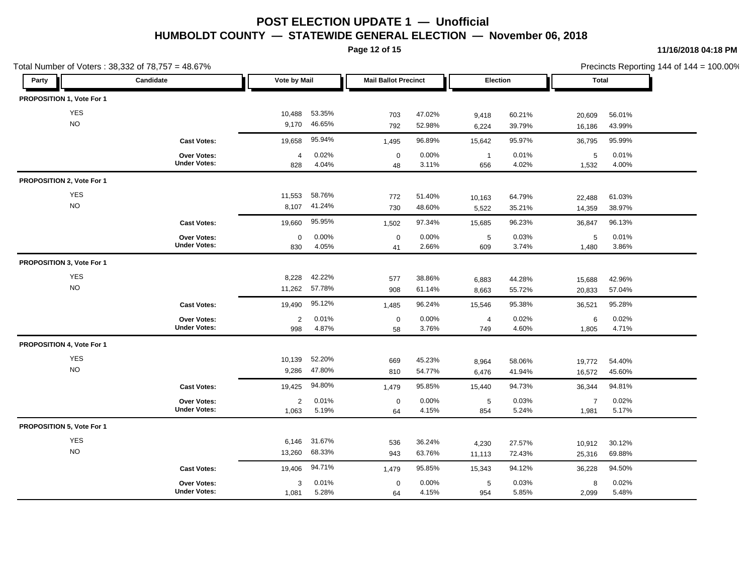**Page 12 of 15**

| Total Number of Voters: 38,332 of 78,757 = 48.67% |                                           |                       |                  |                             |                  |                       |                  |                         | Precincts Reporting 144 of 144 = 100.00% |
|---------------------------------------------------|-------------------------------------------|-----------------------|------------------|-----------------------------|------------------|-----------------------|------------------|-------------------------|------------------------------------------|
| Party                                             | Candidate                                 | <b>Vote by Mail</b>   |                  | <b>Mail Ballot Precinct</b> |                  | Election              |                  | <b>Total</b>            |                                          |
| PROPOSITION 1, Vote For 1                         |                                           |                       |                  |                             |                  |                       |                  |                         |                                          |
| YES                                               |                                           | 10,488                | 53.35%           | 703                         | 47.02%           | 9,418                 | 60.21%           | 20,609                  | 56.01%                                   |
| <b>NO</b>                                         |                                           | 9,170                 | 46.65%           | 792                         | 52.98%           | 6,224                 | 39.79%           | 16,186                  | 43.99%                                   |
|                                                   | <b>Cast Votes:</b>                        | 19,658                | 95.94%           | 1,495                       | 96.89%           | 15,642                | 95.97%           | 36,795                  | 95.99%                                   |
|                                                   | Over Votes:<br><b>Under Votes:</b>        | $\overline{4}$<br>828 | 0.02%<br>4.04%   | $\mathbf 0$<br>48           | 0.00%<br>3.11%   | $\overline{1}$<br>656 | 0.01%<br>4.02%   | 5<br>1,532              | 0.01%<br>4.00%                           |
| PROPOSITION 2, Vote For 1                         |                                           |                       |                  |                             |                  |                       |                  |                         |                                          |
| <b>YES</b><br><b>NO</b>                           |                                           | 11,553<br>8,107       | 58.76%<br>41.24% | 772<br>730                  | 51.40%<br>48.60% | 10,163<br>5,522       | 64.79%<br>35.21% | 22,488<br>14,359        | 61.03%<br>38.97%                         |
|                                                   | <b>Cast Votes:</b>                        | 19,660                | 95.95%           | 1,502                       | 97.34%           | 15,685                | 96.23%           | 36,847                  | 96.13%                                   |
|                                                   | Over Votes:<br><b>Under Votes:</b>        | 0<br>830              | 0.00%<br>4.05%   | $\boldsymbol{0}$<br>41      | 0.00%<br>2.66%   | $\sqrt{5}$<br>609     | 0.03%<br>3.74%   | 5<br>1,480              | 0.01%<br>3.86%                           |
| PROPOSITION 3, Vote For 1                         |                                           |                       |                  |                             |                  |                       |                  |                         |                                          |
| <b>YES</b><br><b>NO</b>                           |                                           | 8,228<br>11,262       | 42.22%<br>57.78% | 577<br>908                  | 38.86%<br>61.14% | 6,883<br>8,663        | 44.28%<br>55.72% | 15,688<br>20,833        | 42.96%<br>57.04%                         |
|                                                   | <b>Cast Votes:</b>                        | 19,490                | 95.12%           | 1,485                       | 96.24%           | 15,546                | 95.38%           | 36,521                  | 95.28%                                   |
|                                                   | Over Votes:<br><b>Under Votes:</b>        | $\overline{2}$<br>998 | 0.01%<br>4.87%   | $\mathbf 0$<br>58           | 0.00%<br>3.76%   | 4<br>749              | 0.02%<br>4.60%   | 6<br>1,805              | 0.02%<br>4.71%                           |
| PROPOSITION 4, Vote For 1                         |                                           |                       |                  |                             |                  |                       |                  |                         |                                          |
| <b>YES</b><br><b>NO</b>                           |                                           | 10,139<br>9,286       | 52.20%<br>47.80% | 669<br>810                  | 45.23%<br>54.77% | 8,964<br>6,476        | 58.06%<br>41.94% | 19,772<br>16,572        | 54.40%<br>45.60%                         |
|                                                   | <b>Cast Votes:</b>                        | 19,425                | 94.80%           | 1,479                       | 95.85%           | 15,440                | 94.73%           | 36,344                  | 94.81%                                   |
|                                                   | <b>Over Votes:</b><br><b>Under Votes:</b> | 2<br>1,063            | 0.01%<br>5.19%   | $\mathbf 0$<br>64           | 0.00%<br>4.15%   | 5<br>854              | 0.03%<br>5.24%   | $\overline{7}$<br>1,981 | 0.02%<br>5.17%                           |
| PROPOSITION 5, Vote For 1                         |                                           |                       |                  |                             |                  |                       |                  |                         |                                          |
| YES<br><b>NO</b>                                  |                                           | 6,146<br>13,260       | 31.67%<br>68.33% | 536<br>943                  | 36.24%<br>63.76% | 4,230<br>11,113       | 27.57%<br>72.43% | 10,912<br>25,316        | 30.12%<br>69.88%                         |
|                                                   | <b>Cast Votes:</b>                        | 19,406                | 94.71%           | 1,479                       | 95.85%           | 15,343                | 94.12%           | 36,228                  | 94.50%                                   |
|                                                   | Over Votes:<br><b>Under Votes:</b>        | 3<br>1,081            | 0.01%<br>5.28%   | $\mathbf 0$<br>64           | 0.00%<br>4.15%   | 5<br>954              | 0.03%<br>5.85%   | 8<br>2,099              | 0.02%<br>5.48%                           |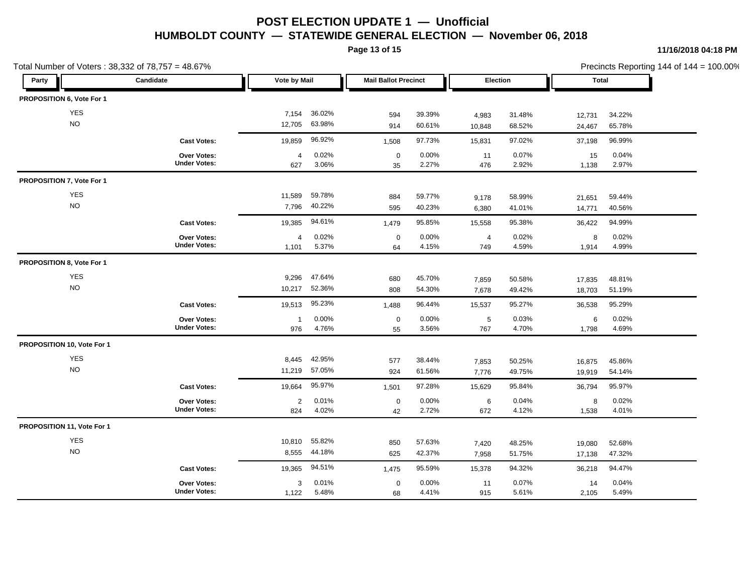**Page 13 of 15**

**11/16/2018 04:18 PM**

| Total Number of Voters: 38,332 of 78,757 = 48.67% |                                           |                       |                  |                   |                             | Precincts Reporting 144 of 144 = 100.00% |                  |                  |                  |  |  |
|---------------------------------------------------|-------------------------------------------|-----------------------|------------------|-------------------|-----------------------------|------------------------------------------|------------------|------------------|------------------|--|--|
| Candidate<br>Party                                |                                           | Vote by Mail          |                  |                   | <b>Mail Ballot Precinct</b> |                                          | Election         |                  | <b>Total</b>     |  |  |
| PROPOSITION 6, Vote For 1                         |                                           |                       |                  |                   |                             |                                          |                  |                  |                  |  |  |
| <b>YES</b>                                        |                                           | 7,154                 | 36.02%           | 594               | 39.39%                      | 4,983                                    | 31.48%           | 12,731           | 34.22%           |  |  |
| NO                                                |                                           | 12,705                | 63.98%           | 914               | 60.61%                      | 10,848                                   | 68.52%           | 24,467           | 65.78%           |  |  |
|                                                   | <b>Cast Votes:</b>                        | 19,859                | 96.92%           | 1,508             | 97.73%                      | 15,831                                   | 97.02%           | 37,198           | 96.99%           |  |  |
|                                                   | Over Votes:<br><b>Under Votes:</b>        | $\overline{a}$<br>627 | 0.02%<br>3.06%   | $\mathbf 0$<br>35 | 0.00%<br>2.27%              | 11<br>476                                | 0.07%<br>2.92%   | 15<br>1,138      | 0.04%<br>2.97%   |  |  |
| PROPOSITION 7, Vote For 1                         |                                           |                       |                  |                   |                             |                                          |                  |                  |                  |  |  |
| <b>YES</b><br><b>NO</b>                           |                                           | 11,589<br>7,796       | 59.78%<br>40.22% | 884<br>595        | 59.77%<br>40.23%            | 9,178<br>6,380                           | 58.99%<br>41.01% | 21,651<br>14,771 | 59.44%<br>40.56% |  |  |
|                                                   | <b>Cast Votes:</b>                        | 19,385                | 94.61%           | 1,479             | 95.85%                      | 15,558                                   | 95.38%           | 36,422           | 94.99%           |  |  |
|                                                   | <b>Over Votes:</b><br><b>Under Votes:</b> | 4<br>1,101            | 0.02%<br>5.37%   | $\mathbf 0$<br>64 | 0.00%<br>4.15%              | $\overline{4}$<br>749                    | 0.02%<br>4.59%   | 8<br>1,914       | 0.02%<br>4.99%   |  |  |
| PROPOSITION 8, Vote For 1                         |                                           |                       |                  |                   |                             |                                          |                  |                  |                  |  |  |
| <b>YES</b><br><b>NO</b>                           |                                           | 9,296<br>10,217       | 47.64%<br>52.36% | 680<br>808        | 45.70%<br>54.30%            | 7,859<br>7,678                           | 50.58%<br>49.42% | 17,835<br>18,703 | 48.81%<br>51.19% |  |  |
|                                                   | <b>Cast Votes:</b>                        | 19,513                | 95.23%           | 1,488             | 96.44%                      | 15,537                                   | 95.27%           | 36,538           | 95.29%           |  |  |
|                                                   | Over Votes:<br><b>Under Votes:</b>        | $\mathbf{1}$<br>976   | 0.00%<br>4.76%   | $\mathbf 0$<br>55 | 0.00%<br>3.56%              | 5<br>767                                 | 0.03%<br>4.70%   | 6<br>1,798       | 0.02%<br>4.69%   |  |  |
| PROPOSITION 10, Vote For 1                        |                                           |                       |                  |                   |                             |                                          |                  |                  |                  |  |  |
| <b>YES</b><br>$\rm NO$                            |                                           | 8,445<br>11,219       | 42.95%<br>57.05% | 577<br>924        | 38.44%<br>61.56%            | 7,853<br>7,776                           | 50.25%<br>49.75% | 16,875<br>19,919 | 45.86%<br>54.14% |  |  |
|                                                   | <b>Cast Votes:</b>                        | 19,664                | 95.97%           | 1,501             | 97.28%                      | 15,629                                   | 95.84%           | 36,794           | 95.97%           |  |  |
|                                                   | Over Votes:<br><b>Under Votes:</b>        | $\overline{2}$<br>824 | 0.01%<br>4.02%   | $\mathbf 0$<br>42 | 0.00%<br>2.72%              | 6<br>672                                 | 0.04%<br>4.12%   | 8<br>1,538       | 0.02%<br>4.01%   |  |  |
| PROPOSITION 11, Vote For 1                        |                                           |                       |                  |                   |                             |                                          |                  |                  |                  |  |  |
| YES<br><b>NO</b>                                  |                                           | 10,810<br>8,555       | 55.82%<br>44.18% | 850<br>625        | 57.63%<br>42.37%            | 7,420<br>7,958                           | 48.25%<br>51.75% | 19,080<br>17,138 | 52.68%<br>47.32% |  |  |
|                                                   | <b>Cast Votes:</b>                        | 19,365                | 94.51%           | 1,475             | 95.59%                      | 15,378                                   | 94.32%           | 36,218           | 94.47%           |  |  |
|                                                   | Over Votes:<br><b>Under Votes:</b>        | 3<br>1,122            | 0.01%<br>5.48%   | $\mathbf 0$<br>68 | 0.00%<br>4.41%              | 11<br>915                                | 0.07%<br>5.61%   | 14<br>2,105      | 0.04%<br>5.49%   |  |  |

 $r$ ting 144 of 144 = 100.00%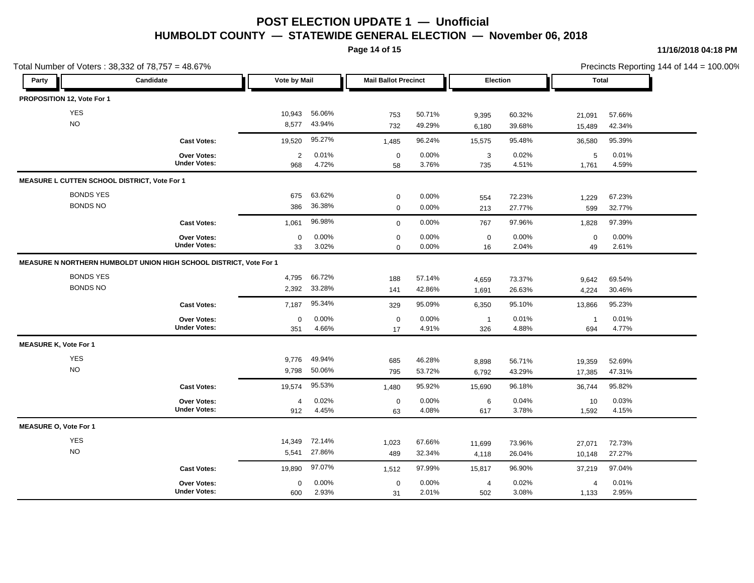**Page 14 of 15**

**11/16/2018 04:18 PM**

| Total Number of Voters: 38,332 of 78,757 = 48.67% |                                                                    |                       |                  |                            |                             |                       | Precincts Reporting 144 of 144 = 100.00% |                         |                  |  |  |
|---------------------------------------------------|--------------------------------------------------------------------|-----------------------|------------------|----------------------------|-----------------------------|-----------------------|------------------------------------------|-------------------------|------------------|--|--|
| Candidate<br>Party                                |                                                                    | Vote by Mail          |                  |                            | <b>Mail Ballot Precinct</b> |                       | Election                                 |                         | <b>Total</b>     |  |  |
| PROPOSITION 12, Vote For 1                        |                                                                    |                       |                  |                            |                             |                       |                                          |                         |                  |  |  |
| <b>YES</b>                                        |                                                                    | 10,943                | 56.06%           | 753                        | 50.71%                      | 9,395                 | 60.32%                                   | 21,091                  | 57.66%           |  |  |
| NO                                                |                                                                    | 8,577                 | 43.94%           | 732                        | 49.29%                      | 6,180                 | 39.68%                                   | 15,489                  | 42.34%           |  |  |
|                                                   | <b>Cast Votes:</b>                                                 | 19,520                | 95.27%           | 1,485                      | 96.24%                      | 15,575                | 95.48%                                   | 36,580                  | 95.39%           |  |  |
|                                                   | Over Votes:<br><b>Under Votes:</b>                                 | $\overline{2}$<br>968 | 0.01%<br>4.72%   | $\mathbf 0$<br>58          | 0.00%<br>3.76%              | 3<br>735              | 0.02%<br>4.51%                           | 5<br>1,761              | 0.01%<br>4.59%   |  |  |
| MEASURE L CUTTEN SCHOOL DISTRICT, Vote For 1      |                                                                    |                       |                  |                            |                             |                       |                                          |                         |                  |  |  |
| <b>BONDS YES</b><br><b>BONDS NO</b>               |                                                                    | 675<br>386            | 63.62%<br>36.38% | $\mathbf 0$<br>$\mathbf 0$ | 0.00%<br>0.00%              | 554<br>213            | 72.23%<br>27.77%                         | 1,229<br>599            | 67.23%<br>32.77% |  |  |
|                                                   | <b>Cast Votes:</b>                                                 | 1,061                 | 96.98%           | $\mathbf 0$                | 0.00%                       | 767                   | 97.96%                                   | 1,828                   | 97.39%           |  |  |
|                                                   | Over Votes:<br><b>Under Votes:</b>                                 | $\mathbf 0$<br>33     | 0.00%<br>3.02%   | $\mathbf 0$<br>$\mathbf 0$ | 0.00%<br>0.00%              | $\mathbf 0$<br>16     | 0.00%<br>2.04%                           | $\mathbf 0$<br>49       | 0.00%<br>2.61%   |  |  |
|                                                   | MEASURE N NORTHERN HUMBOLDT UNION HIGH SCHOOL DISTRICT, Vote For 1 |                       |                  |                            |                             |                       |                                          |                         |                  |  |  |
| <b>BONDS YES</b><br><b>BONDS NO</b>               |                                                                    | 4,795<br>2,392        | 66.72%<br>33.28% | 188<br>141                 | 57.14%<br>42.86%            | 4,659<br>1,691        | 73.37%<br>26.63%                         | 9,642<br>4,224          | 69.54%<br>30.46% |  |  |
|                                                   | <b>Cast Votes:</b>                                                 | 7,187                 | 95.34%           | 329                        | 95.09%                      | 6,350                 | 95.10%                                   | 13,866                  | 95.23%           |  |  |
|                                                   | <b>Over Votes:</b><br><b>Under Votes:</b>                          | $\mathbf 0$<br>351    | 0.00%<br>4.66%   | $\mathbf 0$<br>17          | 0.00%<br>4.91%              | $\overline{1}$<br>326 | 0.01%<br>4.88%                           | $\overline{1}$<br>694   | 0.01%<br>4.77%   |  |  |
| <b>MEASURE K, Vote For 1</b>                      |                                                                    |                       |                  |                            |                             |                       |                                          |                         |                  |  |  |
| <b>YES</b><br><b>NO</b>                           |                                                                    | 9,776<br>9,798        | 49.94%<br>50.06% | 685<br>795                 | 46.28%<br>53.72%            | 8,898<br>6,792        | 56.71%<br>43.29%                         | 19,359<br>17,385        | 52.69%<br>47.31% |  |  |
|                                                   | <b>Cast Votes:</b>                                                 | 19,574                | 95.53%           | 1,480                      | 95.92%                      | 15,690                | 96.18%                                   | 36,744                  | 95.82%           |  |  |
|                                                   | Over Votes:<br><b>Under Votes:</b>                                 | 4<br>912              | 0.02%<br>4.45%   | $\mathbf 0$<br>63          | 0.00%<br>4.08%              | 6<br>617              | 0.04%<br>3.78%                           | 10<br>1,592             | 0.03%<br>4.15%   |  |  |
| <b>MEASURE O, Vote For 1</b>                      |                                                                    |                       |                  |                            |                             |                       |                                          |                         |                  |  |  |
| <b>YES</b><br><b>NO</b>                           |                                                                    | 14,349<br>5,541       | 72.14%<br>27.86% | 1,023<br>489               | 67.66%<br>32.34%            | 11,699<br>4,118       | 73.96%<br>26.04%                         | 27,071<br>10,148        | 72.73%<br>27.27% |  |  |
|                                                   | <b>Cast Votes:</b>                                                 | 19,890                | 97.07%           | 1,512                      | 97.99%                      | 15,817                | 96.90%                                   | 37,219                  | 97.04%           |  |  |
|                                                   | Over Votes:<br><b>Under Votes:</b>                                 | $\mathbf 0$<br>600    | 0.00%<br>2.93%   | $\mathbf 0$<br>31          | 0.00%<br>2.01%              | $\overline{4}$<br>502 | 0.02%<br>3.08%                           | $\overline{4}$<br>1,133 | 0.01%<br>2.95%   |  |  |

 $rting 144 of 144 = 100.00%$